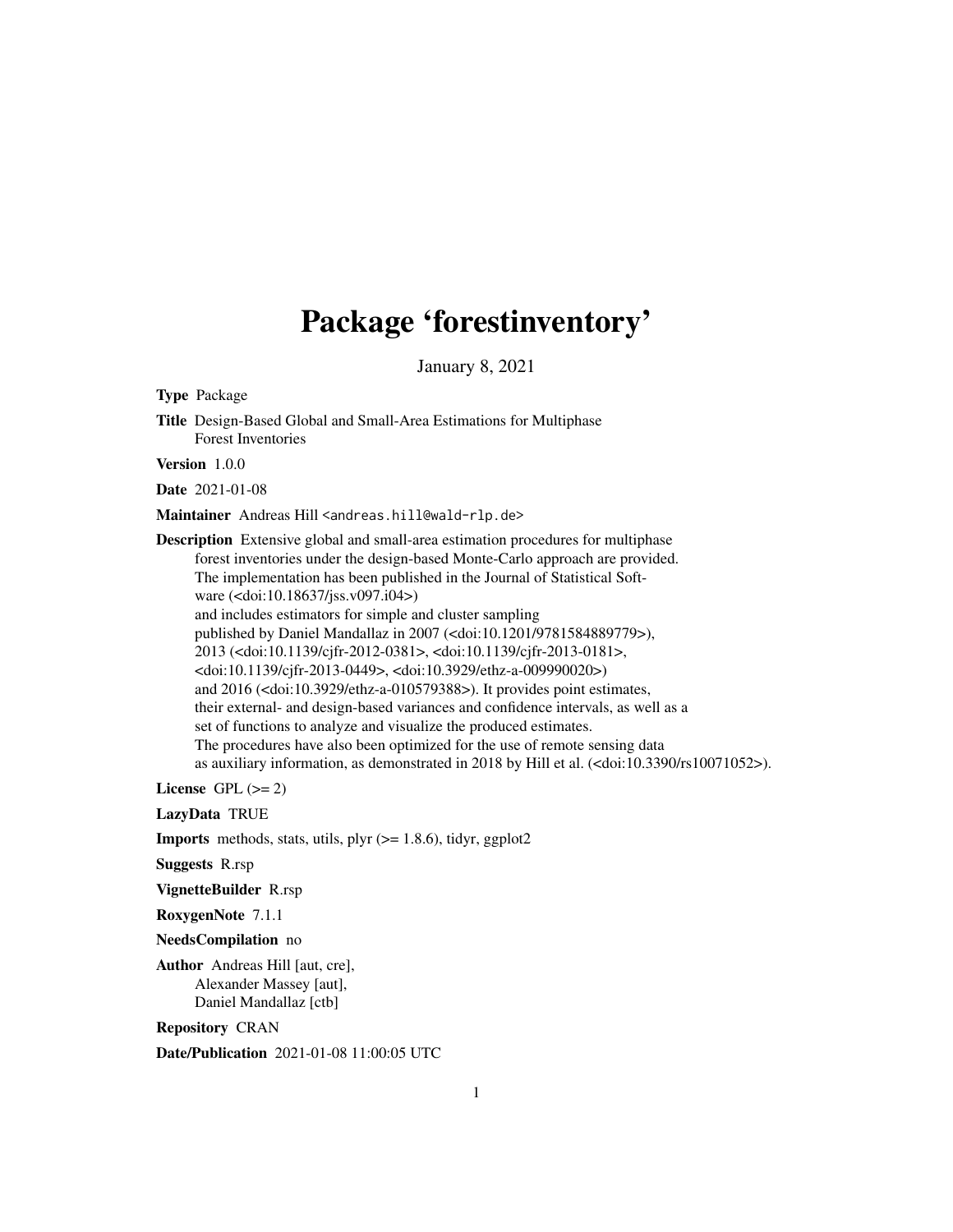## Package 'forestinventory'

January 8, 2021

<span id="page-0-0"></span>Type Package Title Design-Based Global and Small-Area Estimations for Multiphase Forest Inventories Version 1.0.0 Date 2021-01-08 Maintainer Andreas Hill <andreas.hill@wald-rlp.de> Description Extensive global and small-area estimation procedures for multiphase forest inventories under the design-based Monte-Carlo approach are provided. The implementation has been published in the Journal of Statistical Software (<doi:10.18637/jss.v097.i04>) and includes estimators for simple and cluster sampling published by Daniel Mandallaz in 2007 (<doi:10.1201/9781584889779>), 2013 (<doi:10.1139/cjfr-2012-0381>, <doi:10.1139/cjfr-2013-0181>, <doi:10.1139/cjfr-2013-0449>, <doi:10.3929/ethz-a-009990020>) and 2016 (<doi:10.3929/ethz-a-010579388>). It provides point estimates, their external- and design-based variances and confidence intervals, as well as a set of functions to analyze and visualize the produced estimates. The procedures have also been optimized for the use of remote sensing data as auxiliary information, as demonstrated in 2018 by Hill et al. (<doi:10.3390/rs10071052>). License GPL  $(>= 2)$ LazyData TRUE **Imports** methods, stats, utils, plyr  $(>= 1.8.6)$ , tidyr, ggplot2 Suggests R.rsp VignetteBuilder R.rsp RoxygenNote 7.1.1 NeedsCompilation no Author Andreas Hill [aut, cre], Alexander Massey [aut], Daniel Mandallaz [ctb]

Repository CRAN

Date/Publication 2021-01-08 11:00:05 UTC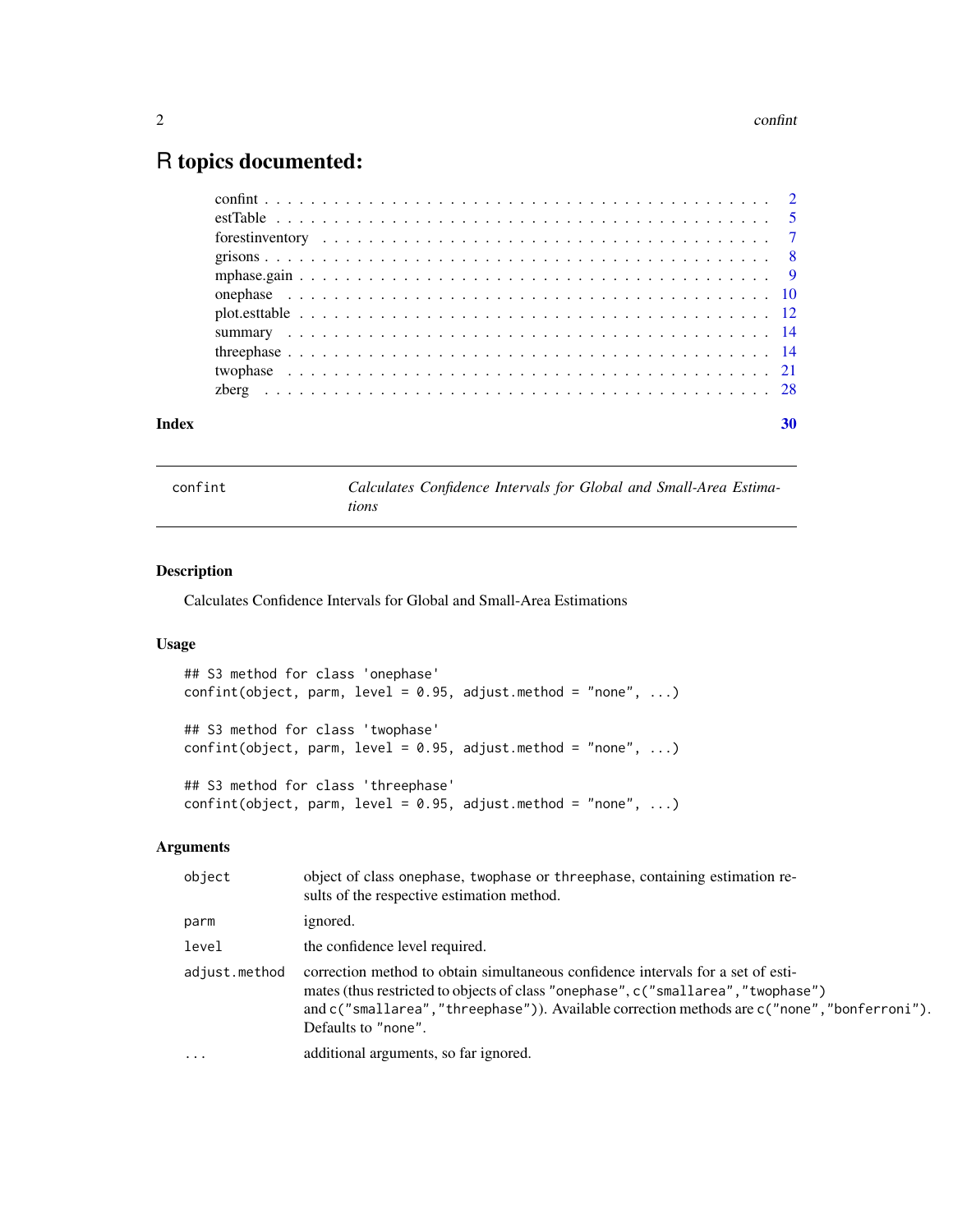## <span id="page-1-0"></span>R topics documented:

|  |  |  |  |  |  |  |  |  |  |  |  |  |  |  |  |  |  |  | 30 |
|--|--|--|--|--|--|--|--|--|--|--|--|--|--|--|--|--|--|--|----|
|  |  |  |  |  |  |  |  |  |  |  |  |  |  |  |  |  |  |  |    |
|  |  |  |  |  |  |  |  |  |  |  |  |  |  |  |  |  |  |  |    |
|  |  |  |  |  |  |  |  |  |  |  |  |  |  |  |  |  |  |  |    |
|  |  |  |  |  |  |  |  |  |  |  |  |  |  |  |  |  |  |  |    |
|  |  |  |  |  |  |  |  |  |  |  |  |  |  |  |  |  |  |  |    |
|  |  |  |  |  |  |  |  |  |  |  |  |  |  |  |  |  |  |  |    |
|  |  |  |  |  |  |  |  |  |  |  |  |  |  |  |  |  |  |  |    |
|  |  |  |  |  |  |  |  |  |  |  |  |  |  |  |  |  |  |  |    |
|  |  |  |  |  |  |  |  |  |  |  |  |  |  |  |  |  |  |  |    |
|  |  |  |  |  |  |  |  |  |  |  |  |  |  |  |  |  |  |  |    |
|  |  |  |  |  |  |  |  |  |  |  |  |  |  |  |  |  |  |  |    |

confint *Calculates Confidence Intervals for Global and Small-Area Estimations*

#### Description

Calculates Confidence Intervals for Global and Small-Area Estimations

#### Usage

```
## S3 method for class 'onephase'
confint(object, parm, level = 0.95, adjust.method = "none", ...)## S3 method for class 'twophase'
confint(object, parm, level = 0.95, adjust.method = "none", ...)## S3 method for class 'threephase'
confint(object, parm, level = 0.95, adjust.method = "none", ...)
```
#### Arguments

| object        | object of class onephase, twophase or threephase, containing estimation re-<br>sults of the respective estimation method.                                                                                                                                                                  |
|---------------|--------------------------------------------------------------------------------------------------------------------------------------------------------------------------------------------------------------------------------------------------------------------------------------------|
| parm          | ignored.                                                                                                                                                                                                                                                                                   |
| level         | the confidence level required.                                                                                                                                                                                                                                                             |
| adjust.method | correction method to obtain simultaneous confidence intervals for a set of esti-<br>mates (thus restricted to objects of class "onephase", c("smallarea", "twophase")<br>and c("smallarea","threephase")). Available correction methods are c("none","bonferroni").<br>Defaults to "none". |
| $\ddotsc$     | additional arguments, so far ignored.                                                                                                                                                                                                                                                      |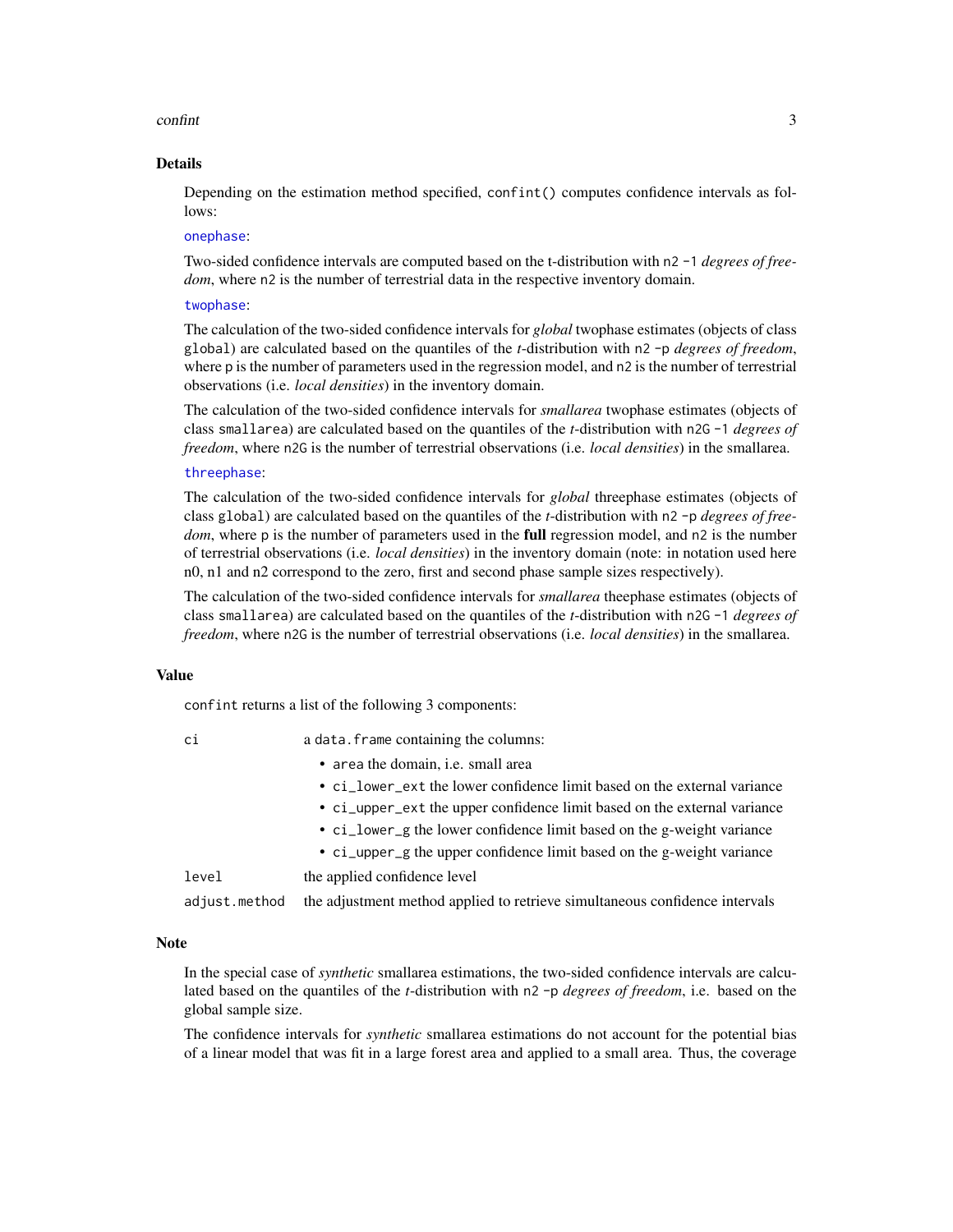#### <span id="page-2-0"></span>confint 3

#### Details

Depending on the estimation method specified, confinit () computes confidence intervals as follows:

#### [onephase](#page-9-1):

Two-sided confidence intervals are computed based on the t-distribution with n2 -1 *degrees of freedom*, where n2 is the number of terrestrial data in the respective inventory domain.

#### [twophase](#page-20-1):

The calculation of the two-sided confidence intervals for *global* twophase estimates (objects of class global) are calculated based on the quantiles of the *t*-distribution with n2 -p *degrees of freedom*, where p is the number of parameters used in the regression model, and n2 is the number of terrestrial observations (i.e. *local densities*) in the inventory domain.

The calculation of the two-sided confidence intervals for *smallarea* twophase estimates (objects of class smallarea) are calculated based on the quantiles of the *t*-distribution with n2G -1 *degrees of freedom*, where n2G is the number of terrestrial observations (i.e. *local densities*) in the smallarea.

#### [threephase](#page-13-1):

The calculation of the two-sided confidence intervals for *global* threephase estimates (objects of class global) are calculated based on the quantiles of the *t*-distribution with n2 -p *degrees of freedom*, where p is the number of parameters used in the **full** regression model, and n2 is the number of terrestrial observations (i.e. *local densities*) in the inventory domain (note: in notation used here n0, n1 and n2 correspond to the zero, first and second phase sample sizes respectively).

The calculation of the two-sided confidence intervals for *smallarea* theephase estimates (objects of class smallarea) are calculated based on the quantiles of the *t*-distribution with n2G -1 *degrees of freedom*, where n2G is the number of terrestrial observations (i.e. *local densities*) in the smallarea.

#### Value

confint returns a list of the following 3 components:

| ×                |  |
|------------------|--|
| ×<br>٦<br>$\sim$ |  |
|                  |  |

| C1 |  | a data. frame containing the columns: |
|----|--|---------------------------------------|
|----|--|---------------------------------------|

- area the domain, i.e. small area
- ci\_lower\_ext the lower confidence limit based on the external variance
- ci\_upper\_ext the upper confidence limit based on the external variance
- ci\_lower\_g the lower confidence limit based on the g-weight variance
- ci\_upper\_g the upper confidence limit based on the g-weight variance

level the applied confidence level

adjust.method the adjustment method applied to retrieve simultaneous confidence intervals

#### Note

In the special case of *synthetic* smallarea estimations, the two-sided confidence intervals are calculated based on the quantiles of the *t*-distribution with n2 -p *degrees of freedom*, i.e. based on the global sample size.

The confidence intervals for *synthetic* smallarea estimations do not account for the potential bias of a linear model that was fit in a large forest area and applied to a small area. Thus, the coverage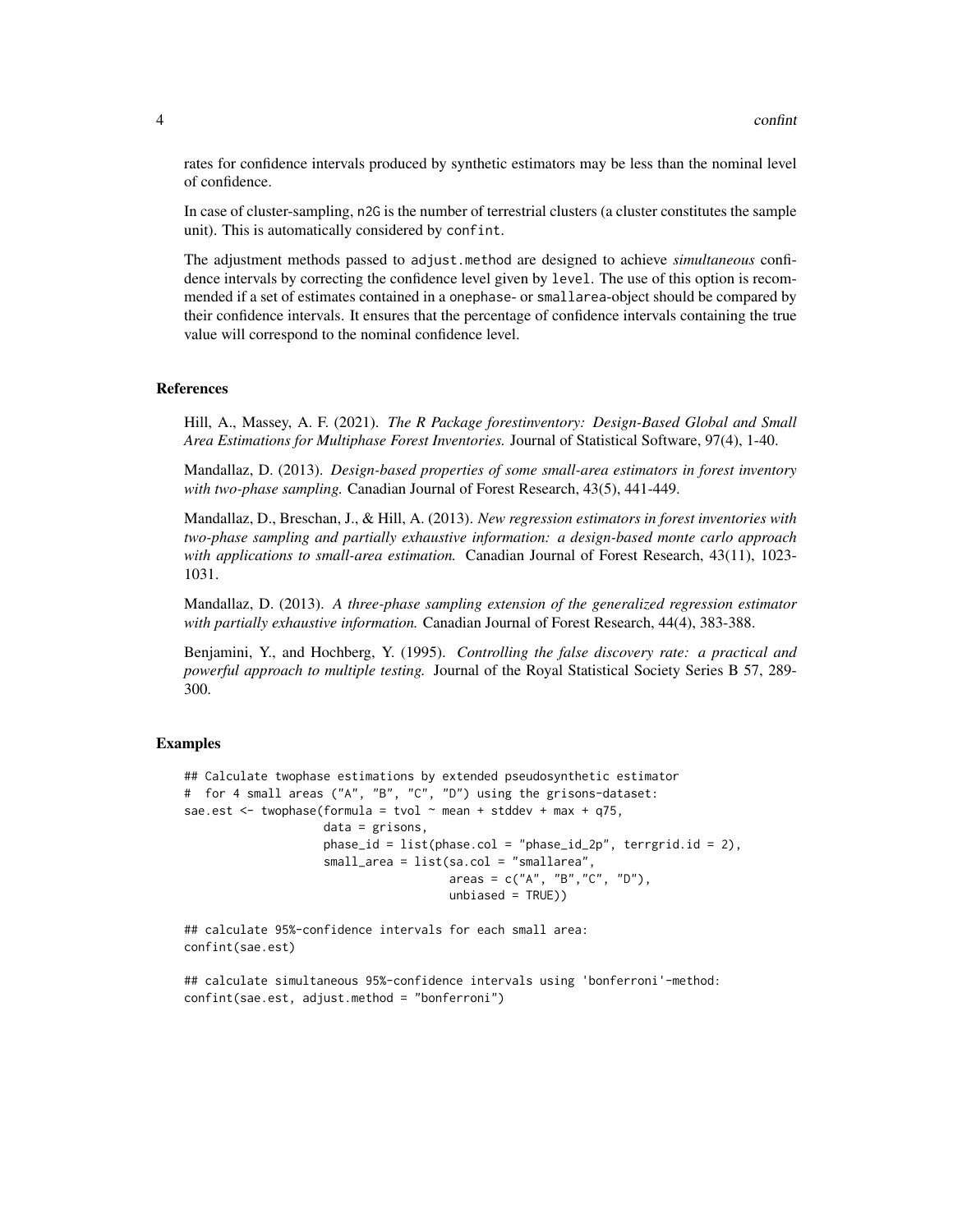rates for confidence intervals produced by synthetic estimators may be less than the nominal level of confidence.

In case of cluster-sampling, n2G is the number of terrestrial clusters (a cluster constitutes the sample unit). This is automatically considered by confint.

The adjustment methods passed to adjust.method are designed to achieve *simultaneous* confidence intervals by correcting the confidence level given by level. The use of this option is recommended if a set of estimates contained in a onephase- or smallarea-object should be compared by their confidence intervals. It ensures that the percentage of confidence intervals containing the true value will correspond to the nominal confidence level.

#### References

Hill, A., Massey, A. F. (2021). *The R Package forestinventory: Design-Based Global and Small Area Estimations for Multiphase Forest Inventories.* Journal of Statistical Software, 97(4), 1-40.

Mandallaz, D. (2013). *Design-based properties of some small-area estimators in forest inventory with two-phase sampling.* Canadian Journal of Forest Research, 43(5), 441-449.

Mandallaz, D., Breschan, J., & Hill, A. (2013). *New regression estimators in forest inventories with two-phase sampling and partially exhaustive information: a design-based monte carlo approach with applications to small-area estimation.* Canadian Journal of Forest Research, 43(11), 1023- 1031.

Mandallaz, D. (2013). *A three-phase sampling extension of the generalized regression estimator with partially exhaustive information.* Canadian Journal of Forest Research, 44(4), 383-388.

Benjamini, Y., and Hochberg, Y. (1995). *Controlling the false discovery rate: a practical and powerful approach to multiple testing.* Journal of the Royal Statistical Society Series B 57, 289- 300.

#### Examples

```
## Calculate twophase estimations by extended pseudosynthetic estimator
# for 4 small areas ("A", "B", "C", "D") using the grisons-dataset:
sae.est \leq twophase(formula = tvol \sim mean + stddev + max + q75,
                    data = grisons,
                    phase_id = list(phase.col = "phase_id_2p", 'terrgrid.id = 2),small_area = list(sa.col = "smallarea",
                                      areas = c("A", "B","C", "D"),
                                      unbiased = TRUE)
```
## calculate 95%-confidence intervals for each small area: confint(sae.est)

## calculate simultaneous 95%-confidence intervals using 'bonferroni'-method: confint(sae.est, adjust.method = "bonferroni")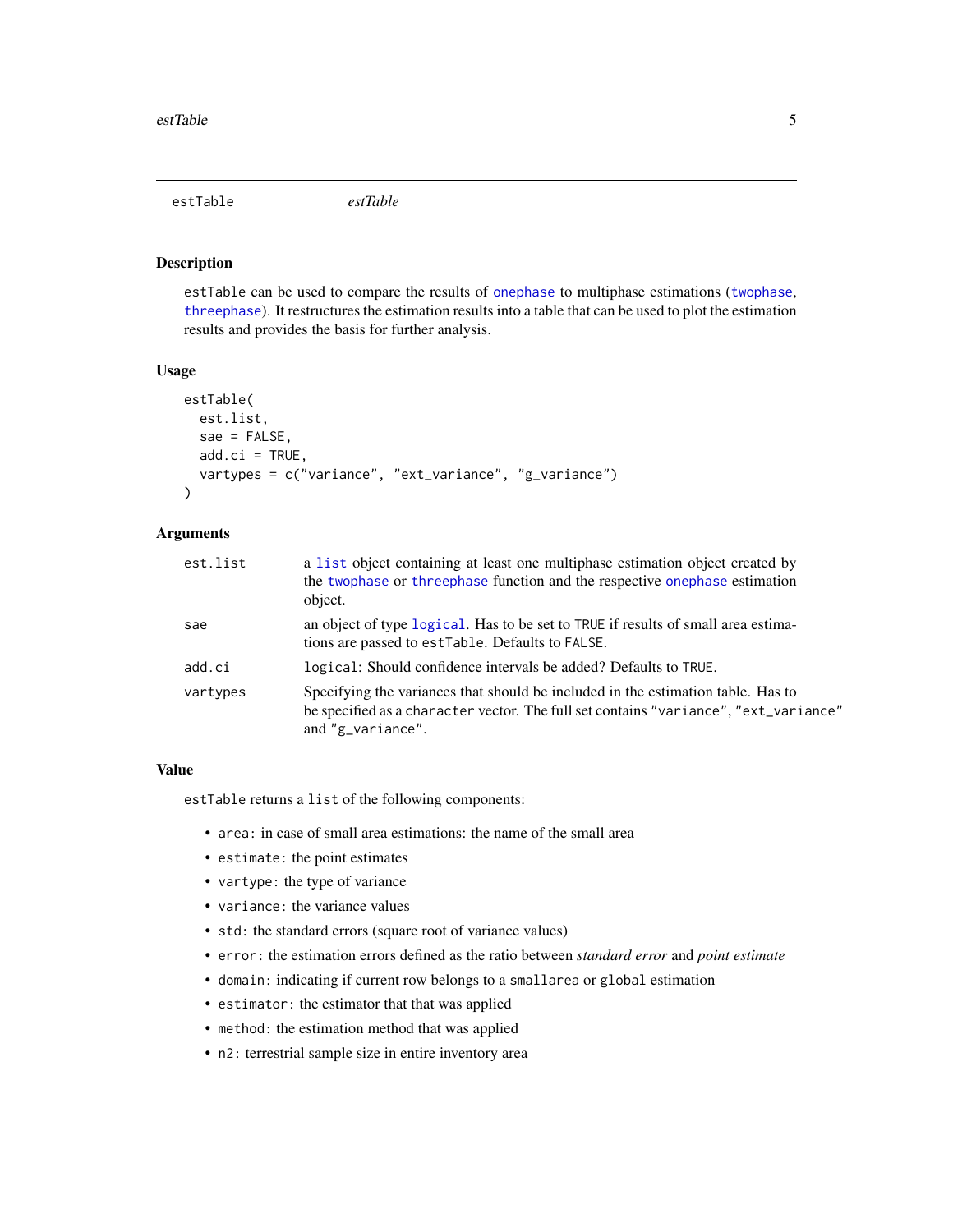<span id="page-4-1"></span><span id="page-4-0"></span>

#### Description

estTable can be used to compare the results of [onephase](#page-9-1) to multiphase estimations ([twophase](#page-20-1), [threephase](#page-13-1)). It restructures the estimation results into a table that can be used to plot the estimation results and provides the basis for further analysis.

#### Usage

```
estTable(
  est.list,
  sae = FALSE,
  add.ci = TRUE,vartypes = c("variance", "ext_variance", "g_variance")
\lambda
```
#### Arguments

| est.list | a list object containing at least one multiphase estimation object created by<br>the twophase or threephase function and the respective onephase estimation<br>object.                          |
|----------|-------------------------------------------------------------------------------------------------------------------------------------------------------------------------------------------------|
| sae      | an object of type logical. Has to be set to TRUE if results of small area estima-<br>tions are passed to estTable. Defaults to FALSE.                                                           |
| add.ci   | logical: Should confidence intervals be added? Defaults to TRUE.                                                                                                                                |
| vartypes | Specifying the variances that should be included in the estimation table. Has to<br>be specified as a character vector. The full set contains "variance", "ext_variance"<br>and $"g_variance".$ |

#### Value

estTable returns a list of the following components:

- area: in case of small area estimations: the name of the small area
- estimate: the point estimates
- vartype: the type of variance
- variance: the variance values
- std: the standard errors (square root of variance values)
- error: the estimation errors defined as the ratio between *standard error* and *point estimate*
- domain: indicating if current row belongs to a smallarea or global estimation
- estimator: the estimator that that was applied
- method: the estimation method that was applied
- n2: terrestrial sample size in entire inventory area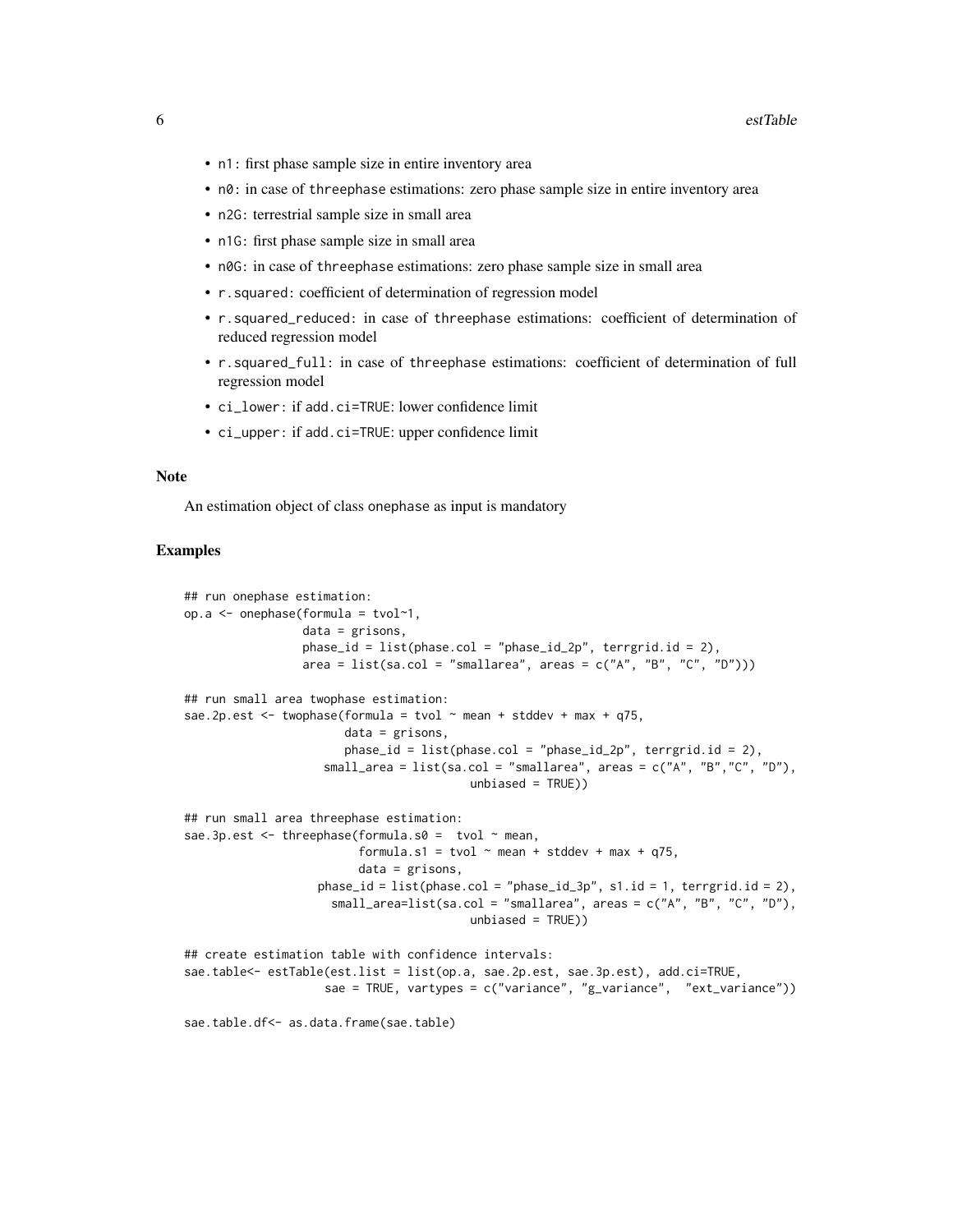- n1: first phase sample size in entire inventory area
- n0: in case of threephase estimations: zero phase sample size in entire inventory area
- n2G: terrestrial sample size in small area
- n1G: first phase sample size in small area
- n0G: in case of threephase estimations: zero phase sample size in small area
- r.squared: coefficient of determination of regression model
- r.squared\_reduced: in case of threephase estimations: coefficient of determination of reduced regression model
- r.squared\_full: in case of threephase estimations: coefficient of determination of full regression model
- ci\_lower: if add.ci=TRUE: lower confidence limit
- ci\_upper: if add.ci=TRUE: upper confidence limit

#### Note

An estimation object of class onephase as input is mandatory

#### Examples

```
## run onephase estimation:
op.a <- onephase(formula = tvol~1,
                 data = grisons,
                 phase_id = list(phase,col = "phase_id_2p", 'terrgrid.id = 2),area = list(sa.col = "smallarea", areas = c("A", "B", "C", "D")))
## run small area twophase estimation:
sae.2p.est \le twophase(formula = tvol \sim mean + stddev + max + q75,
                       data = grisons,
                       phase_id = list(phase.col = "phase_id_2p",' terminal_id = 2),small_area = list(sa.col = "smallarea", areas = c("A", "B","C", "D"),
                                         unbiased = TRUE))
## run small area threephase estimation:
sae.3p.est \leq threephase(formula.s0 = tvol \sim mean,
                         formula.s1 = tvol \sim mean + stddev + max + q75,
                         data = grisons,
                   phase_id = list(phase,col = "phase_id_3p", s1.id = 1, terrgrid.id = 2),small_area=list(sa.col = "smallarea", areas = c("A", "B", "C", "D"),
                                         unbiased = TRUE))
## create estimation table with confidence intervals:
sae.table<- estTable(est.list = list(op.a, sae.2p.est, sae.3p.est), add.ci=TRUE,
                    sae = TRUE, vartypes = c("variance", "g_variance", "ext_variance"))
sae.table.df<- as.data.frame(sae.table)
```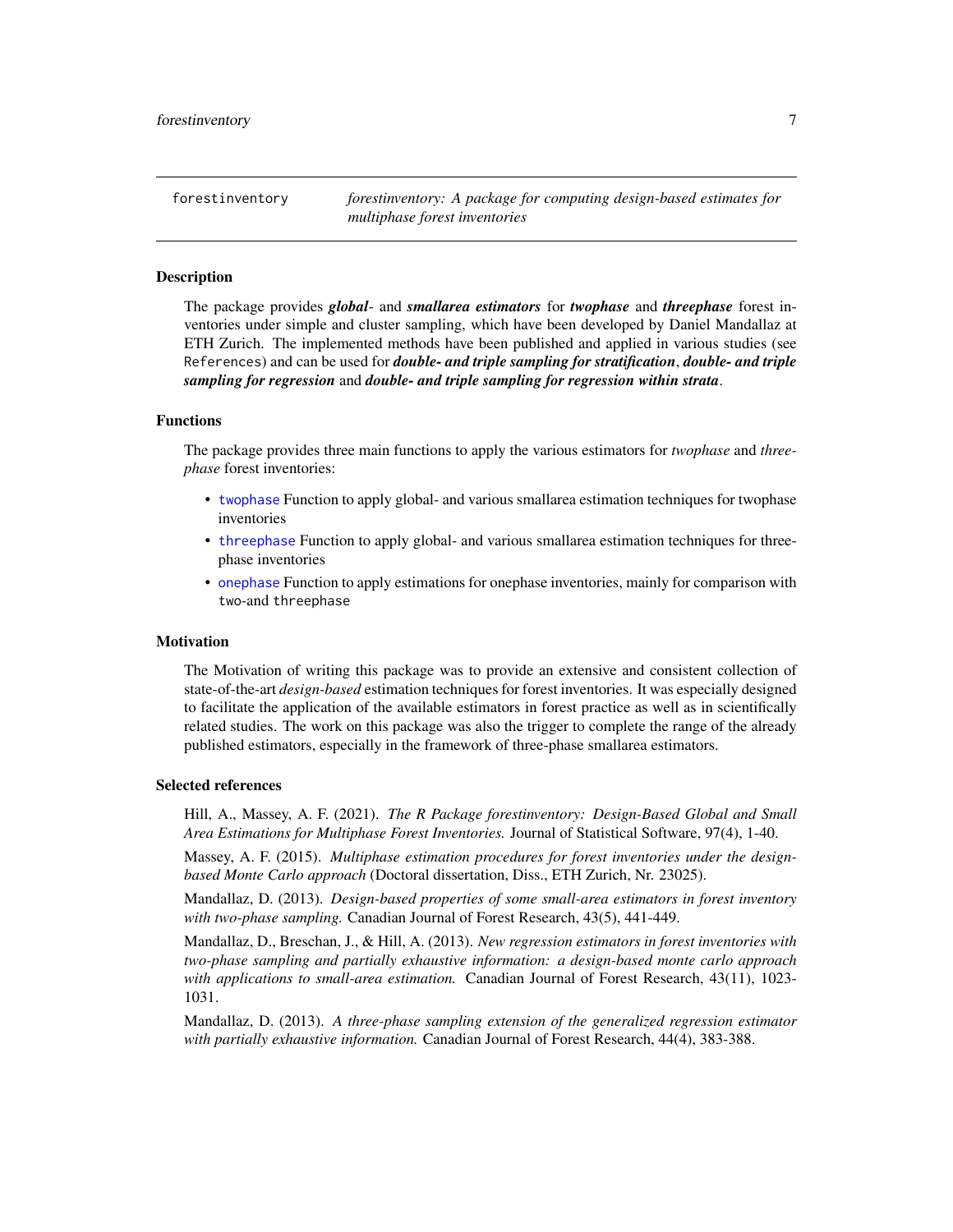<span id="page-6-0"></span>forestinventory *forestinventory: A package for computing design-based estimates for multiphase forest inventories*

#### **Description**

The package provides *global*- and *smallarea estimators* for *twophase* and *threephase* forest inventories under simple and cluster sampling, which have been developed by Daniel Mandallaz at ETH Zurich. The implemented methods have been published and applied in various studies (see References) and can be used for *double- and triple sampling for stratification*, *double- and triple sampling for regression* and *double- and triple sampling for regression within strata*.

#### Functions

The package provides three main functions to apply the various estimators for *twophase* and *threephase* forest inventories:

- [twophase](#page-20-1) Function to apply global- and various smallarea estimation techniques for twophase inventories
- [threephase](#page-13-1) Function to apply global- and various smallarea estimation techniques for threephase inventories
- [onephase](#page-9-1) Function to apply estimations for onephase inventories, mainly for comparison with two-and threephase

#### **Motivation**

The Motivation of writing this package was to provide an extensive and consistent collection of state-of-the-art *design-based* estimation techniques for forest inventories. It was especially designed to facilitate the application of the available estimators in forest practice as well as in scientifically related studies. The work on this package was also the trigger to complete the range of the already published estimators, especially in the framework of three-phase smallarea estimators.

#### Selected references

Hill, A., Massey, A. F. (2021). *The R Package forestinventory: Design-Based Global and Small Area Estimations for Multiphase Forest Inventories.* Journal of Statistical Software, 97(4), 1-40.

Massey, A. F. (2015). *Multiphase estimation procedures for forest inventories under the designbased Monte Carlo approach* (Doctoral dissertation, Diss., ETH Zurich, Nr. 23025).

Mandallaz, D. (2013). *Design-based properties of some small-area estimators in forest inventory with two-phase sampling.* Canadian Journal of Forest Research, 43(5), 441-449.

Mandallaz, D., Breschan, J., & Hill, A. (2013). *New regression estimators in forest inventories with two-phase sampling and partially exhaustive information: a design-based monte carlo approach with applications to small-area estimation.* Canadian Journal of Forest Research, 43(11), 1023- 1031.

Mandallaz, D. (2013). *A three-phase sampling extension of the generalized regression estimator with partially exhaustive information.* Canadian Journal of Forest Research, 44(4), 383-388.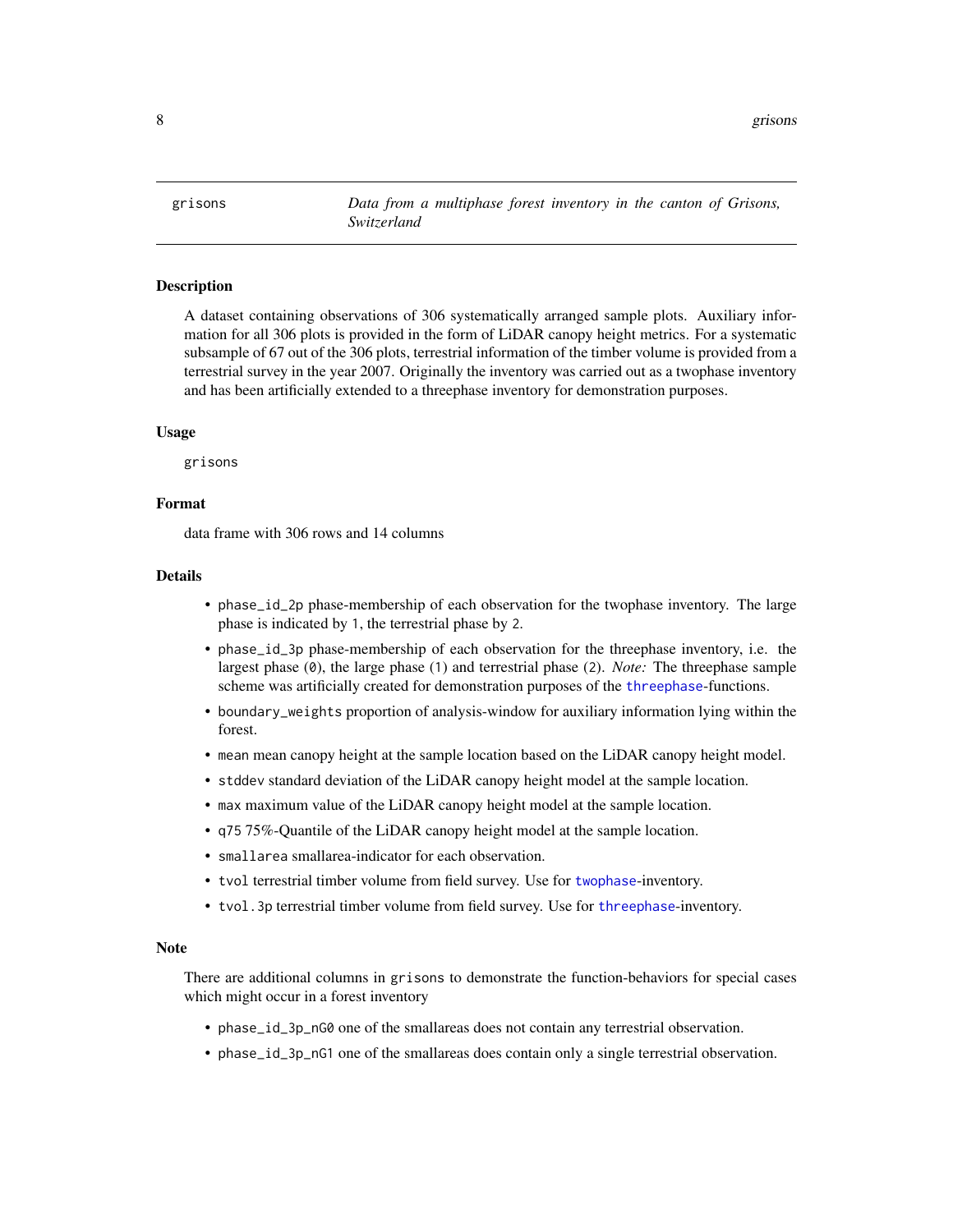<span id="page-7-0"></span>grisons *Data from a multiphase forest inventory in the canton of Grisons, Switzerland*

#### **Description**

A dataset containing observations of 306 systematically arranged sample plots. Auxiliary information for all 306 plots is provided in the form of LiDAR canopy height metrics. For a systematic subsample of 67 out of the 306 plots, terrestrial information of the timber volume is provided from a terrestrial survey in the year 2007. Originally the inventory was carried out as a twophase inventory and has been artificially extended to a threephase inventory for demonstration purposes.

#### Usage

grisons

#### Format

data frame with 306 rows and 14 columns

#### Details

- phase\_id\_2p phase-membership of each observation for the twophase inventory. The large phase is indicated by 1, the terrestrial phase by 2.
- phase\_id\_3p phase-membership of each observation for the threephase inventory, i.e. the largest phase (0), the large phase (1) and terrestrial phase (2). *Note:* The threephase sample scheme was artificially created for demonstration purposes of the [threephase](#page-13-1)-functions.
- boundary\_weights proportion of analysis-window for auxiliary information lying within the forest.
- mean mean canopy height at the sample location based on the LiDAR canopy height model.
- stddev standard deviation of the LiDAR canopy height model at the sample location.
- max maximum value of the LiDAR canopy height model at the sample location.
- q75 75%-Quantile of the LiDAR canopy height model at the sample location.
- smallarea smallarea-indicator for each observation.
- tvol terrestrial timber volume from field survey. Use for [twophase](#page-20-1)-inventory.
- tvol.3p terrestrial timber volume from field survey. Use for [threephase](#page-13-1)-inventory.

#### Note

There are additional columns in grisons to demonstrate the function-behaviors for special cases which might occur in a forest inventory

- phase\_id\_3p\_nG0 one of the smallareas does not contain any terrestrial observation.
- phase\_id\_3p\_nG1 one of the smallareas does contain only a single terrestrial observation.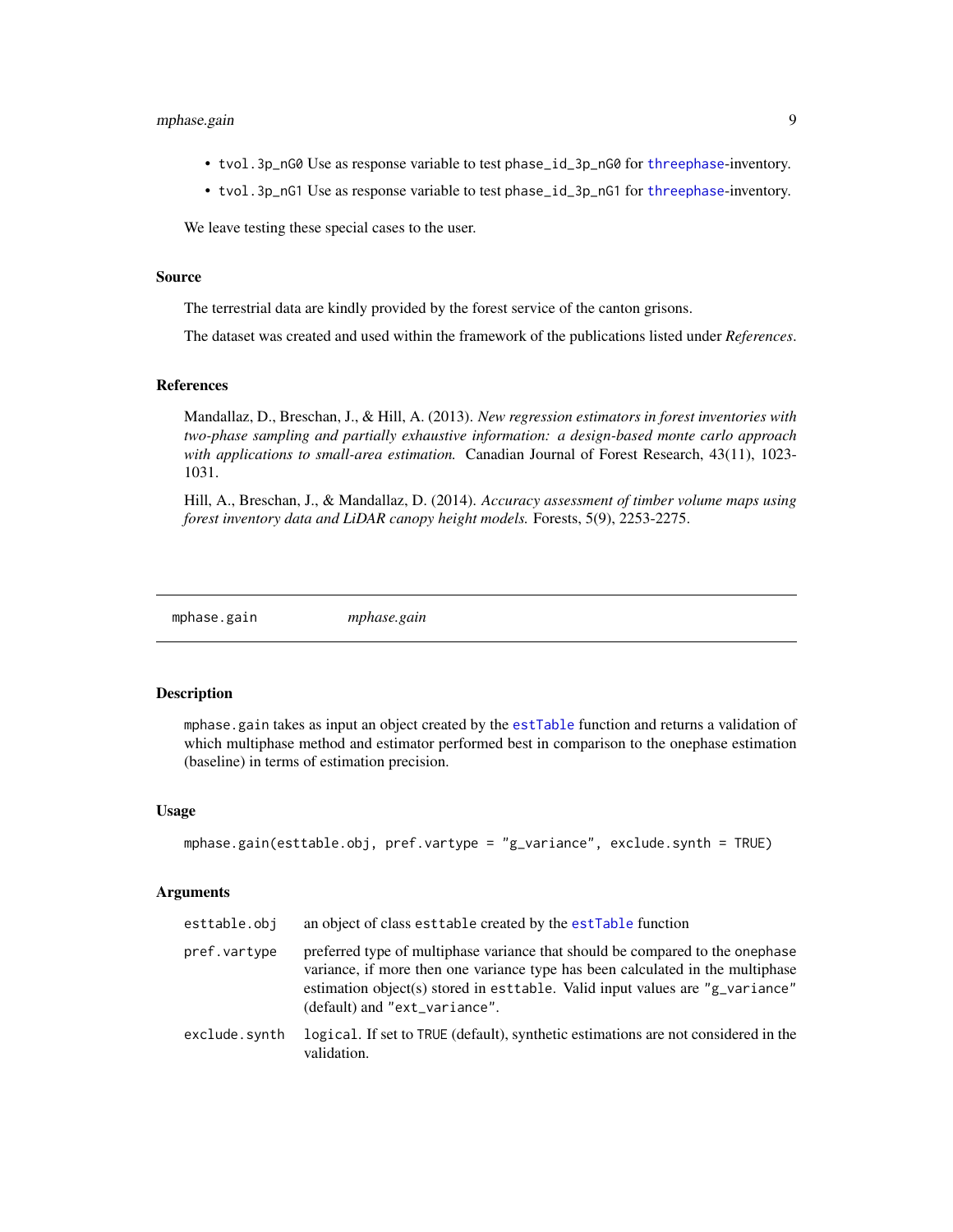#### <span id="page-8-0"></span>mphase.gain 9

- tvol.3p\_nG0 Use as response variable to test phase\_id\_3p\_nG0 for [threephase](#page-13-1)-inventory.
- tvol.3p\_nG1 Use as response variable to test phase\_id\_3p\_nG1 for [threephase](#page-13-1)-inventory.

We leave testing these special cases to the user.

#### Source

The terrestrial data are kindly provided by the forest service of the canton grisons.

The dataset was created and used within the framework of the publications listed under *References*.

#### References

Mandallaz, D., Breschan, J., & Hill, A. (2013). *New regression estimators in forest inventories with two-phase sampling and partially exhaustive information: a design-based monte carlo approach with applications to small-area estimation.* Canadian Journal of Forest Research, 43(11), 1023- 1031.

Hill, A., Breschan, J., & Mandallaz, D. (2014). *Accuracy assessment of timber volume maps using forest inventory data and LiDAR canopy height models.* Forests, 5(9), 2253-2275.

mphase.gain *mphase.gain*

#### Description

mphase.gain takes as input an object created by the [estTable](#page-4-1) function and returns a validation of which multiphase method and estimator performed best in comparison to the onephase estimation (baseline) in terms of estimation precision.

#### Usage

```
mphase.gain(esttable.obj, pref.vartype = "g_variance", exclude.synth = TRUE)
```
#### Arguments

| esttable.obj  | an object of class est table created by the est Table function                                                                                                                                                                                                                    |
|---------------|-----------------------------------------------------------------------------------------------------------------------------------------------------------------------------------------------------------------------------------------------------------------------------------|
| pref.vartype  | preferred type of multiphase variance that should be compared to the onephase<br>variance, if more then one variance type has been calculated in the multiphase<br>estimation object(s) stored in est table. Valid input values are "g_variance"<br>(default) and "ext_variance". |
| exclude.synth | logical. If set to TRUE (default), synthetic estimations are not considered in the<br>validation.                                                                                                                                                                                 |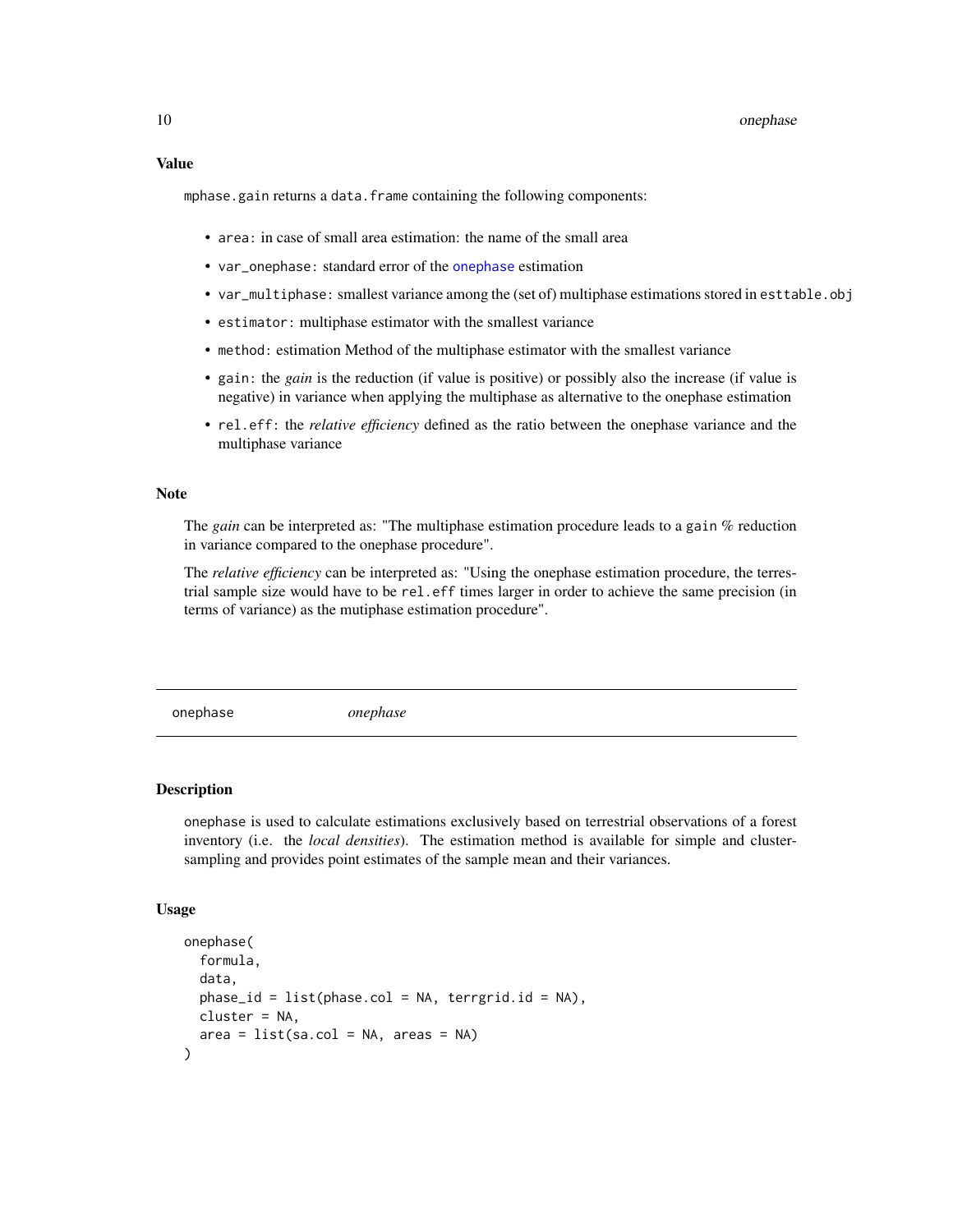<span id="page-9-0"></span>mphase.gain returns a data.frame containing the following components:

- area: in case of small area estimation: the name of the small area
- var\_onephase: standard error of the [onephase](#page-9-1) estimation
- var\_multiphase: smallest variance among the (set of) multiphase estimations stored in esttable.obj
- estimator: multiphase estimator with the smallest variance
- method: estimation Method of the multiphase estimator with the smallest variance
- gain: the *gain* is the reduction (if value is positive) or possibly also the increase (if value is negative) in variance when applying the multiphase as alternative to the onephase estimation
- rel.eff: the *relative efficiency* defined as the ratio between the onephase variance and the multiphase variance

#### Note

The *gain* can be interpreted as: "The multiphase estimation procedure leads to a gain % reduction in variance compared to the onephase procedure".

The *relative efficiency* can be interpreted as: "Using the onephase estimation procedure, the terrestrial sample size would have to be rel.eff times larger in order to achieve the same precision (in terms of variance) as the mutiphase estimation procedure".

<span id="page-9-1"></span>onephase *onephase*

#### **Description**

onephase is used to calculate estimations exclusively based on terrestrial observations of a forest inventory (i.e. the *local densities*). The estimation method is available for simple and clustersampling and provides point estimates of the sample mean and their variances.

#### Usage

```
onephase(
  formula,
  data,
 phase_id = list(phase.col = NA, territorial_id = NA),cluster = NA,
  area = list(sa.col = NA, areas = NA))
```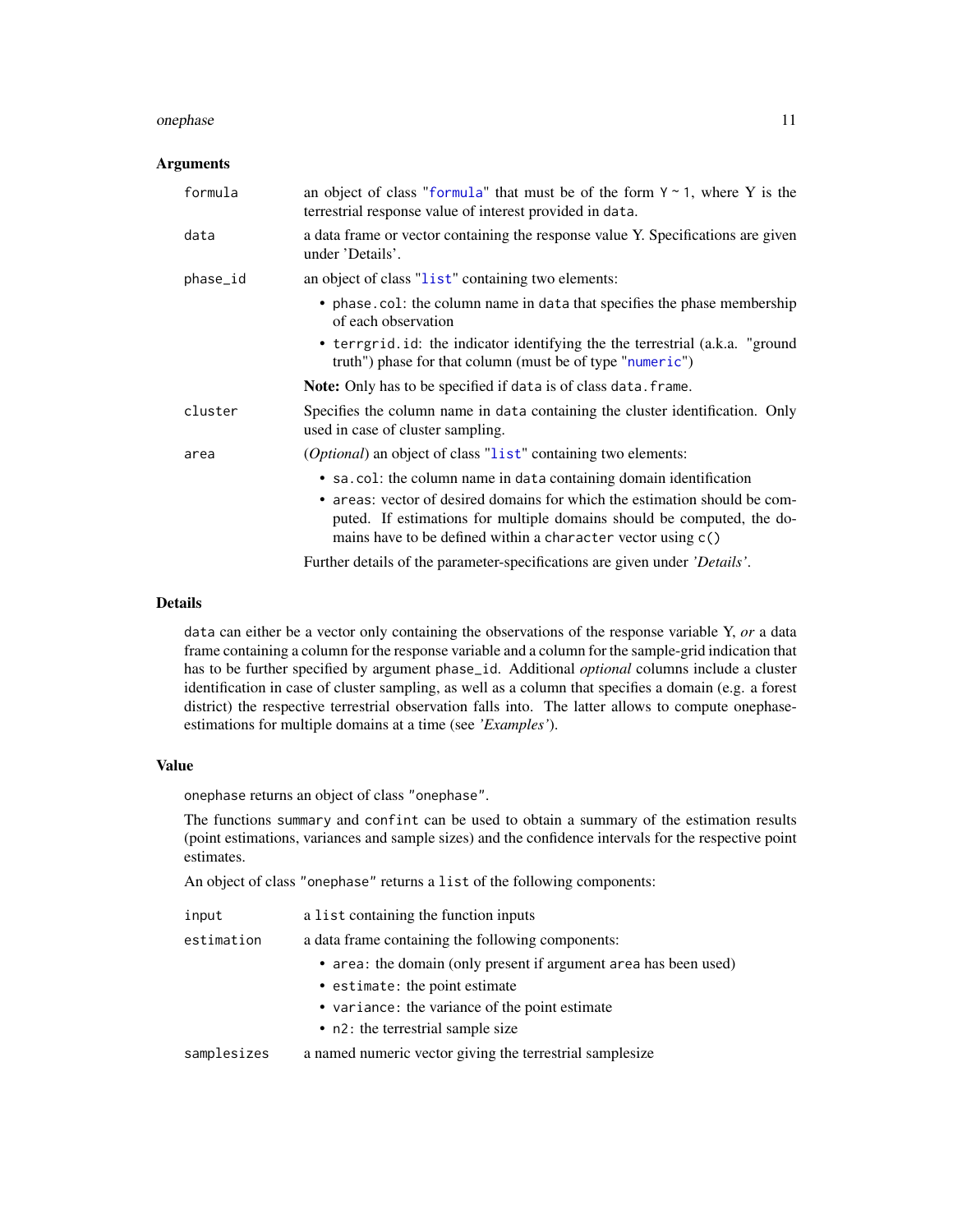#### <span id="page-10-0"></span>onephase the contract of the contract of the contract of the contract of the contract of the contract of the contract of the contract of the contract of the contract of the contract of the contract of the contract of the c

#### Arguments

| formula  | an object of class "formula" that must be of the form $Y \sim 1$ , where Y is the<br>terrestrial response value of interest provided in data.                                                                                                                                              |
|----------|--------------------------------------------------------------------------------------------------------------------------------------------------------------------------------------------------------------------------------------------------------------------------------------------|
| data     | a data frame or vector containing the response value Y. Specifications are given<br>under 'Details'.                                                                                                                                                                                       |
| phase_id | an object of class "list" containing two elements:                                                                                                                                                                                                                                         |
|          | • phase.col: the column name in data that specifies the phase membership<br>of each observation                                                                                                                                                                                            |
|          | • terrgrid.id: the indicator identifying the the terrestrial (a.k.a. "ground"<br>truth") phase for that column (must be of type "numeric")                                                                                                                                                 |
|          | <b>Note:</b> Only has to be specified if data is of class data. frame.                                                                                                                                                                                                                     |
| cluster  | Specifies the column name in data containing the cluster identification. Only<br>used in case of cluster sampling.                                                                                                                                                                         |
| area     | <i>(Optional)</i> an object of class "list" containing two elements:                                                                                                                                                                                                                       |
|          | • sa.col: the column name in data containing domain identification<br>• areas: vector of desired domains for which the estimation should be com-<br>puted. If estimations for multiple domains should be computed, the do-<br>mains have to be defined within a character vector using c() |

Further details of the parameter-specifications are given under *'Details'*.

#### Details

data can either be a vector only containing the observations of the response variable Y, *or* a data frame containing a column for the response variable and a column for the sample-grid indication that has to be further specified by argument phase\_id. Additional *optional* columns include a cluster identification in case of cluster sampling, as well as a column that specifies a domain (e.g. a forest district) the respective terrestrial observation falls into. The latter allows to compute onephaseestimations for multiple domains at a time (see *'Examples'*).

#### Value

onephase returns an object of class "onephase".

The functions summary and confint can be used to obtain a summary of the estimation results (point estimations, variances and sample sizes) and the confidence intervals for the respective point estimates.

An object of class "onephase" returns a list of the following components:

| input       | a list containing the function inputs                            |  |  |  |  |
|-------------|------------------------------------------------------------------|--|--|--|--|
| estimation  | a data frame containing the following components:                |  |  |  |  |
|             | • area: the domain (only present if argument area has been used) |  |  |  |  |
|             | • estimate: the point estimate                                   |  |  |  |  |
|             | • variance: the variance of the point estimate                   |  |  |  |  |
|             | • n2: the terrestrial sample size                                |  |  |  |  |
| samplesizes | a named numeric vector giving the terrestrial samplesize         |  |  |  |  |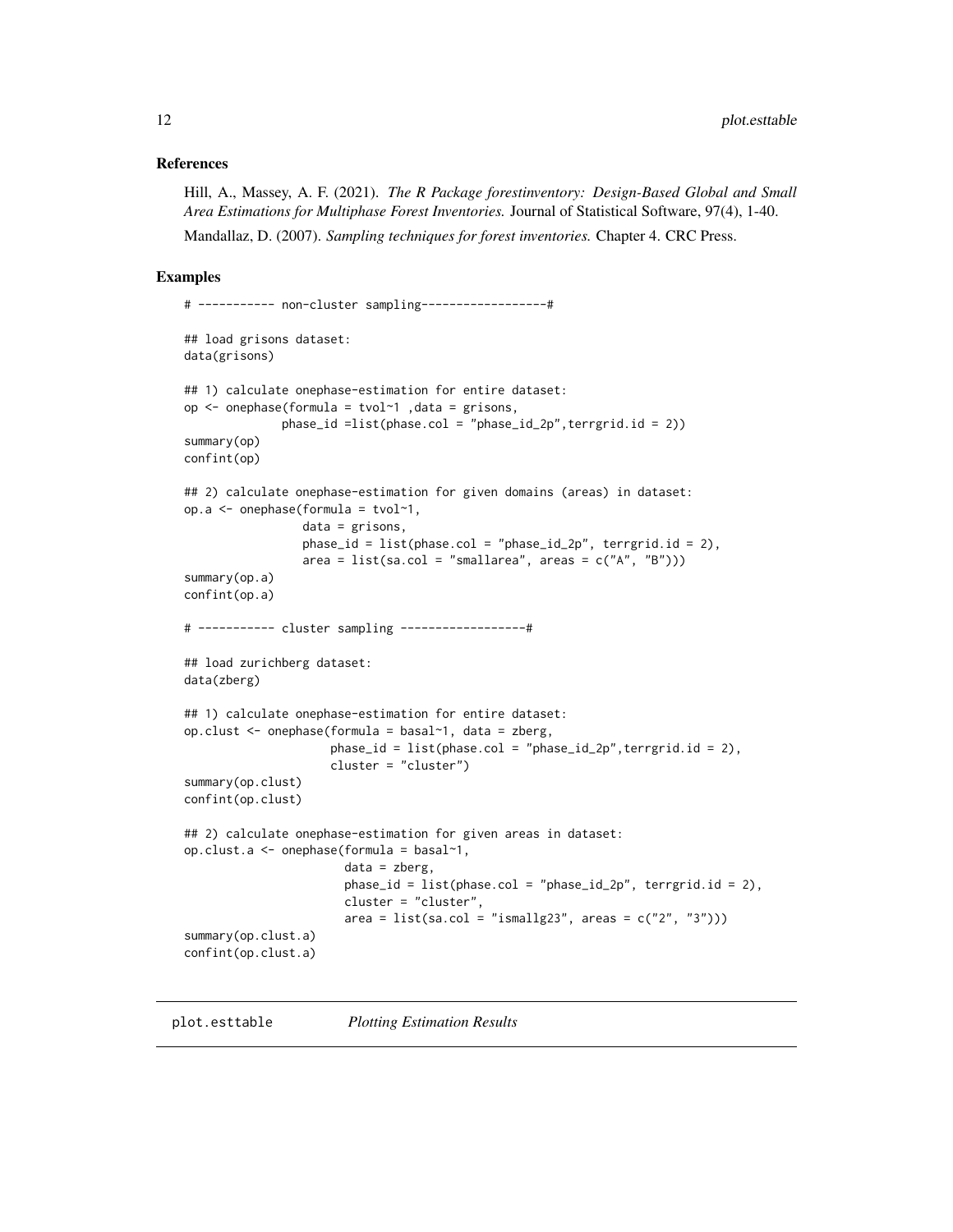#### <span id="page-11-0"></span>References

Hill, A., Massey, A. F. (2021). *The R Package forestinventory: Design-Based Global and Small Area Estimations for Multiphase Forest Inventories.* Journal of Statistical Software, 97(4), 1-40. Mandallaz, D. (2007). *Sampling techniques for forest inventories.* Chapter 4. CRC Press.

#### Examples

```
# ----------- non-cluster sampling------------------#
## load grisons dataset:
data(grisons)
## 1) calculate onephase-estimation for entire dataset:
op <- onephase(formula = tvol~1 ,data = grisons,
             phase_id =list(phase.col = "phase_id_2p",terrgrid.id = 2))
summary(op)
confint(op)
## 2) calculate onephase-estimation for given domains (areas) in dataset:
op.a <- onephase(formula = tvol~1,
                 data = grisons,
                 phase_id = list(phase.col = "phase_id_2p", terrgrid.id = 2),
                 area = list(sa.col = "smallarea", areas = c("A", "B"))summary(op.a)
confint(op.a)
# ----------- cluster sampling ------------------#
## load zurichberg dataset:
data(zberg)
## 1) calculate onephase-estimation for entire dataset:
op.clust <- onephase(formula = basal~1, data = zberg,
                     phase_id = list(phase.col = "phase_id_2p",terrgrid.id = 2),
                     cluster = "cluster")
summary(op.clust)
confint(op.clust)
## 2) calculate onephase-estimation for given areas in dataset:
op.clust.a <- onephase(formula = basal~1,
                       data = zberg,
                       phase_id = list(phase.col = "phase_id_2p", terrgrid.id = 2),
                       cluster = "cluster",
                       area = list(sa.co1 = "ismally23", areas = c("2", "3"))summary(op.clust.a)
confint(op.clust.a)
```
plot.esttable *Plotting Estimation Results*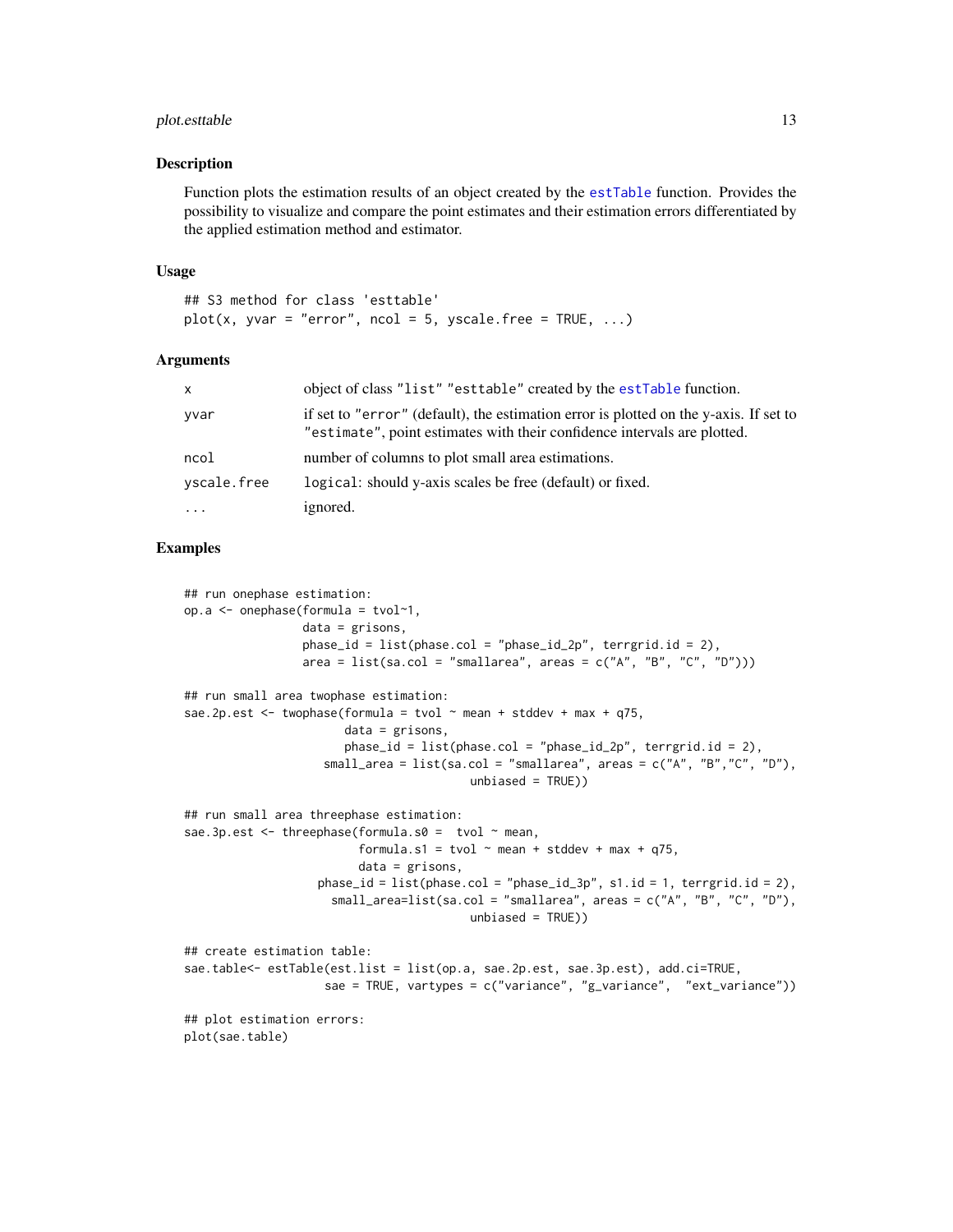#### <span id="page-12-0"></span>plot.esttable 13

#### Description

Function plots the estimation results of an object created by the [estTable](#page-4-1) function. Provides the possibility to visualize and compare the point estimates and their estimation errors differentiated by the applied estimation method and estimator.

#### Usage

```
## S3 method for class 'esttable'
plot(x, yvar = "error", ncol = 5, yscale-free = TRUE, ...)
```
#### Arguments

| $\mathsf{x}$ | object of class "list" "esttable" created by the estTable function.                                                                                               |
|--------------|-------------------------------------------------------------------------------------------------------------------------------------------------------------------|
| yvar         | if set to "error" (default), the estimation error is plotted on the y-axis. If set to<br>"estimate", point estimates with their confidence intervals are plotted. |
| ncol         | number of columns to plot small area estimations.                                                                                                                 |
| yscale.free  | logical: should y-axis scales be free (default) or fixed.                                                                                                         |
| $\cdots$     | ignored.                                                                                                                                                          |

#### Examples

```
## run onephase estimation:
op.a \leq onephase(formula = tvol\geq 1,
                 data = grisons,
                 phase_id = list(phase,col = "phase_id_2p", territorial_id = 2),area = list(sa.col = "smallarea", areas = c("A", "B", "C", "D")))
## run small area twophase estimation:
sae.2p.est \le twophase(formula = tvol \sim mean + stddev + max + q75,
                       data = grisons,phase_id = list(phase,col = "phase_id_2p",' terminal_id = 2),small_area = list(sa.col = "smallarea", areas = c("A", "B","C", "D"),
                                          unbiased = TRUE)
## run small area threephase estimation:
sae.3p.est \le threephase(formula.s0 = tvol \sim mean,
                         formula.s1 = tvol \sim mean + stddev + max + q75,
                         data = grisons,
                   phase_id = list(phase,col = "phase_id_3p", s1.id = 1, terrgrid.id = 2),small_area=list(sa.col = "smallarea", areas = c("A", "B", "C", "D"),
                                          unbiased = TRUE))
## create estimation table:
sae.table<- estTable(est.list = list(op.a, sae.2p.est, sae.3p.est), add.ci=TRUE,
                    sae = TRUE, vartypes = c("variance", "g_variance", "ext_variance"))
## plot estimation errors:
plot(sae.table)
```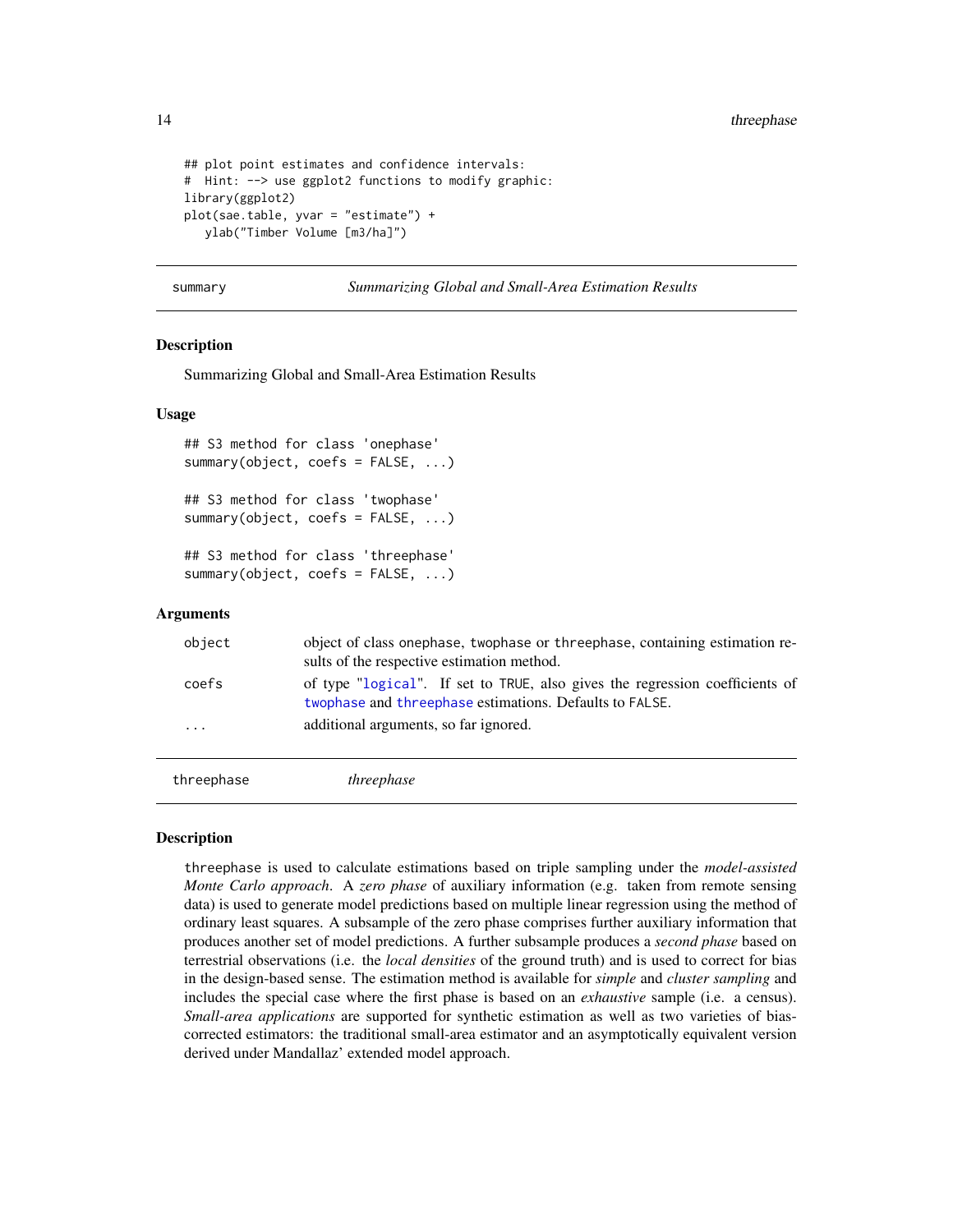```
## plot point estimates and confidence intervals:
# Hint: --> use ggplot2 functions to modify graphic:
library(ggplot2)
plot(sae.table, yvar = "estimate") +
  ylab("Timber Volume [m3/ha]")
```
summary *Summarizing Global and Small-Area Estimation Results*

#### Description

Summarizing Global and Small-Area Estimation Results

#### Usage

```
## S3 method for class 'onephase'
summary(object, coefs = FALSE, ...)
## S3 method for class 'twophase'
summary(object, coefs = FALSE, ...)
## S3 method for class 'threephase'
summary(object, coefs = FALSE, ...)
```
#### Arguments

| object                  | object of class onephase, two phase or three phase, containing estimation re-<br>sults of the respective estimation method.               |
|-------------------------|-------------------------------------------------------------------------------------------------------------------------------------------|
| coefs                   | of type "logical". If set to TRUE, also gives the regression coefficients of<br>two phase and three phase estimations. Defaults to FALSE. |
| $\cdot$ $\cdot$ $\cdot$ | additional arguments, so far ignored.                                                                                                     |
|                         |                                                                                                                                           |

<span id="page-13-1"></span>threephase *threephase*

#### **Description**

threephase is used to calculate estimations based on triple sampling under the *model-assisted Monte Carlo approach*. A *zero phase* of auxiliary information (e.g. taken from remote sensing data) is used to generate model predictions based on multiple linear regression using the method of ordinary least squares. A subsample of the zero phase comprises further auxiliary information that produces another set of model predictions. A further subsample produces a *second phase* based on terrestrial observations (i.e. the *local densities* of the ground truth) and is used to correct for bias in the design-based sense. The estimation method is available for *simple* and *cluster sampling* and includes the special case where the first phase is based on an *exhaustive* sample (i.e. a census). *Small-area applications* are supported for synthetic estimation as well as two varieties of biascorrected estimators: the traditional small-area estimator and an asymptotically equivalent version derived under Mandallaz' extended model approach.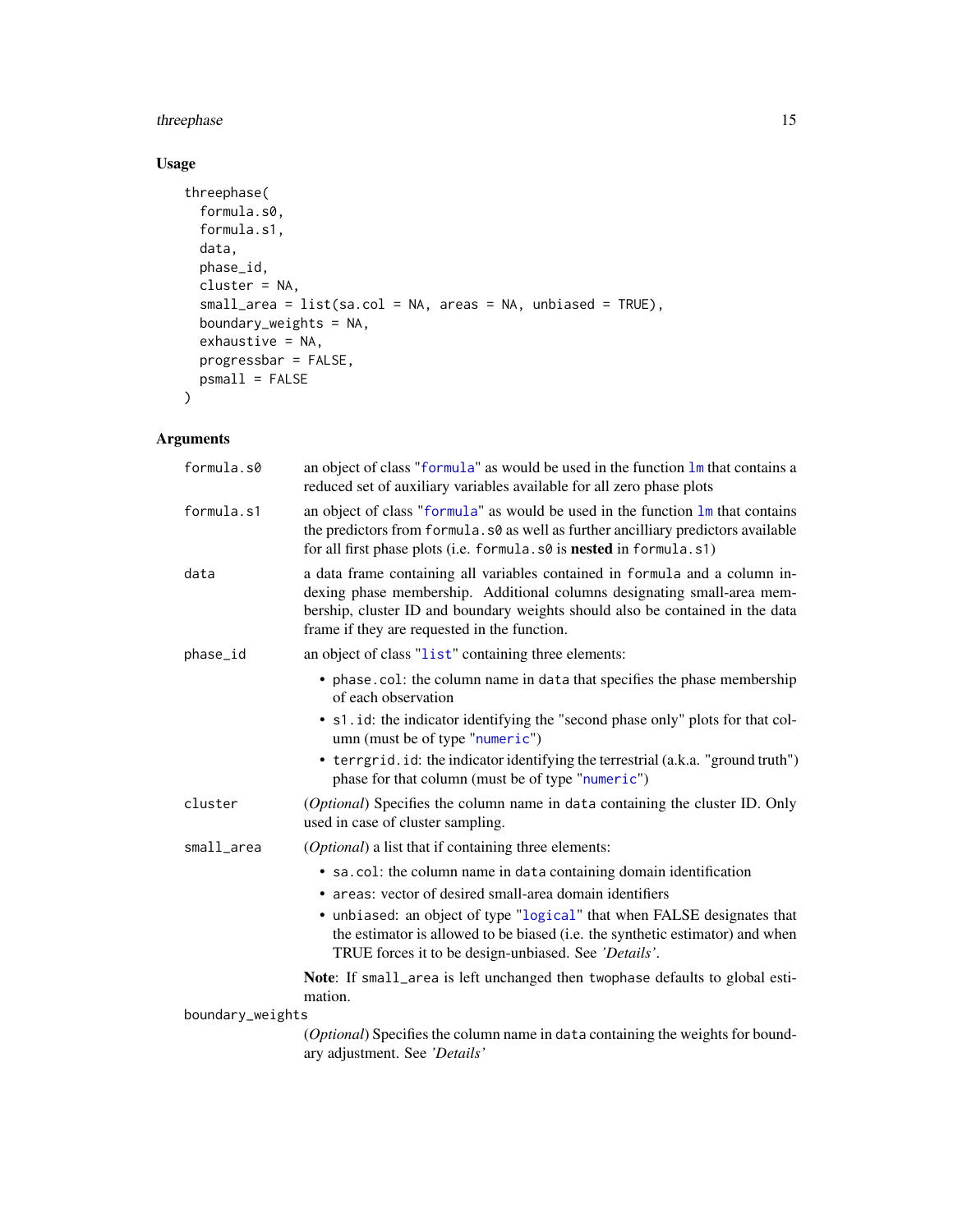### <span id="page-14-0"></span>three phase through the state of the state of the state of the state of the state of the state of the state of the state of the state of the state of the state of the state of the state of the state of the state of the sta

#### Usage

```
threephase(
 formula.s0,
  formula.s1,
 data,
 phase_id,
 cluster = NA,
 small_area = list(sa.col = NA, areas = NA, unbiased = TRUE),
 boundary_weights = NA,
 exhaustive = NA,
 progressbar = FALSE,
 psmall = FALSE
\mathcal{L}
```
### Arguments

| formula.s0       | an object of class "formula" as would be used in the function lm that contains a<br>reduced set of auxiliary variables available for all zero phase plots                                                                                                                               |
|------------------|-----------------------------------------------------------------------------------------------------------------------------------------------------------------------------------------------------------------------------------------------------------------------------------------|
| formula.s1       | an object of class "formula" as would be used in the function $\text{Im}$ that contains<br>the predictors from formula. s0 as well as further ancilliary predictors available<br>for all first phase plots (i.e. formula. s0 is nested in formula. s1)                                  |
| data             | a data frame containing all variables contained in formula and a column in-<br>dexing phase membership. Additional columns designating small-area mem-<br>bership, cluster ID and boundary weights should also be contained in the data<br>frame if they are requested in the function. |
| phase_id         | an object of class "list" containing three elements:                                                                                                                                                                                                                                    |
|                  | • phase.col: the column name in data that specifies the phase membership<br>of each observation                                                                                                                                                                                         |
|                  | • s1. id: the indicator identifying the "second phase only" plots for that col-<br>umn (must be of type "numeric")                                                                                                                                                                      |
|                  | • terrgrid. id: the indicator identifying the terrestrial (a.k.a. "ground truth")<br>phase for that column (must be of type "numeric")                                                                                                                                                  |
| cluster          | (Optional) Specifies the column name in data containing the cluster ID. Only<br>used in case of cluster sampling.                                                                                                                                                                       |
| small_area       | <i>(Optional)</i> a list that if containing three elements:                                                                                                                                                                                                                             |
|                  | • sa.col: the column name in data containing domain identification<br>• areas: vector of desired small-area domain identifiers                                                                                                                                                          |
|                  | • unbiased: an object of type "logical" that when FALSE designates that<br>the estimator is allowed to be biased (i.e. the synthetic estimator) and when<br>TRUE forces it to be design-unbiased. See 'Details'.                                                                        |
|                  | Note: If small_area is left unchanged then twophase defaults to global esti-<br>mation.                                                                                                                                                                                                 |
| boundary_weights |                                                                                                                                                                                                                                                                                         |
|                  | (Optional) Specifies the column name in data containing the weights for bound-<br>ary adjustment. See 'Details'                                                                                                                                                                         |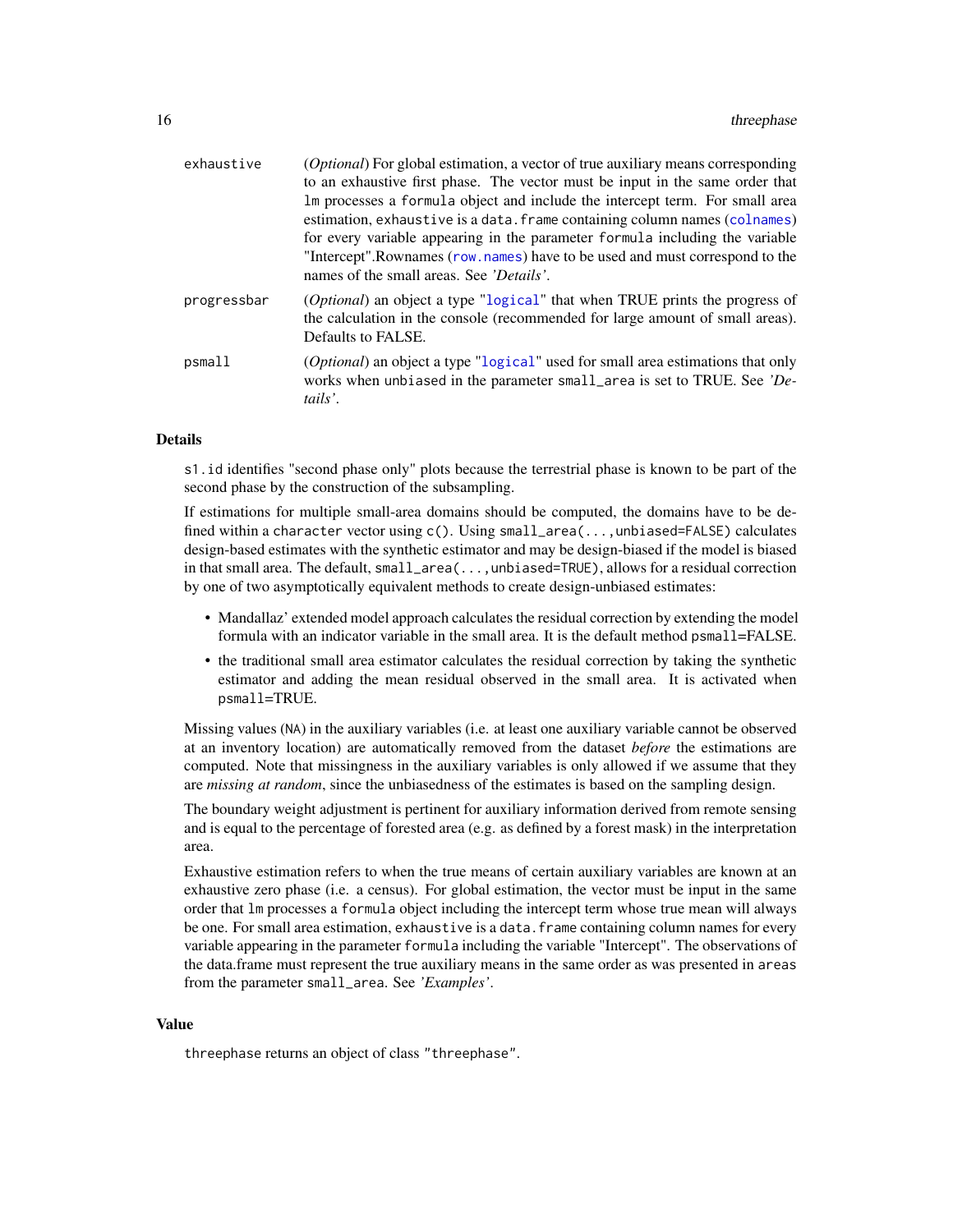<span id="page-15-0"></span>

| <i>(Optional)</i> For global estimation, a vector of true auxiliary means corresponding                                                                                            |
|------------------------------------------------------------------------------------------------------------------------------------------------------------------------------------|
| to an exhaustive first phase. The vector must be input in the same order that                                                                                                      |
| Im processes a formula object and include the intercept term. For small area                                                                                                       |
| estimation, exhaustive is a data. frame containing column names (colnames)                                                                                                         |
| for every variable appearing in the parameter formula including the variable                                                                                                       |
| "Intercept". Rownames (row, names) have to be used and must correspond to the<br>names of the small areas. See 'Details'.                                                          |
| (Optional) an object a type "logical" that when TRUE prints the progress of<br>the calculation in the console (recommended for large amount of small areas).<br>Defaults to FALSE. |
| <i>(Optional)</i> an object a type "logical" used for small area estimations that only<br>works when unbiased in the parameter small_area is set to TRUE. See 'De-<br>tails'.      |
|                                                                                                                                                                                    |

#### Details

s1.id identifies "second phase only" plots because the terrestrial phase is known to be part of the second phase by the construction of the subsampling.

If estimations for multiple small-area domains should be computed, the domains have to be defined within a character vector using c(). Using small\_area(...,unbiased=FALSE) calculates design-based estimates with the synthetic estimator and may be design-biased if the model is biased in that small area. The default, small\_area(...,unbiased=TRUE), allows for a residual correction by one of two asymptotically equivalent methods to create design-unbiased estimates:

- Mandallaz' extended model approach calculates the residual correction by extending the model formula with an indicator variable in the small area. It is the default method psmall=FALSE.
- the traditional small area estimator calculates the residual correction by taking the synthetic estimator and adding the mean residual observed in the small area. It is activated when psmall=TRUE.

Missing values (NA) in the auxiliary variables (i.e. at least one auxiliary variable cannot be observed at an inventory location) are automatically removed from the dataset *before* the estimations are computed. Note that missingness in the auxiliary variables is only allowed if we assume that they are *missing at random*, since the unbiasedness of the estimates is based on the sampling design.

The boundary weight adjustment is pertinent for auxiliary information derived from remote sensing and is equal to the percentage of forested area (e.g. as defined by a forest mask) in the interpretation area.

Exhaustive estimation refers to when the true means of certain auxiliary variables are known at an exhaustive zero phase (i.e. a census). For global estimation, the vector must be input in the same order that lm processes a formula object including the intercept term whose true mean will always be one. For small area estimation, exhaustive is a data. frame containing column names for every variable appearing in the parameter formula including the variable "Intercept". The observations of the data.frame must represent the true auxiliary means in the same order as was presented in areas from the parameter small\_area. See *'Examples'*.

#### Value

threephase returns an object of class "threephase".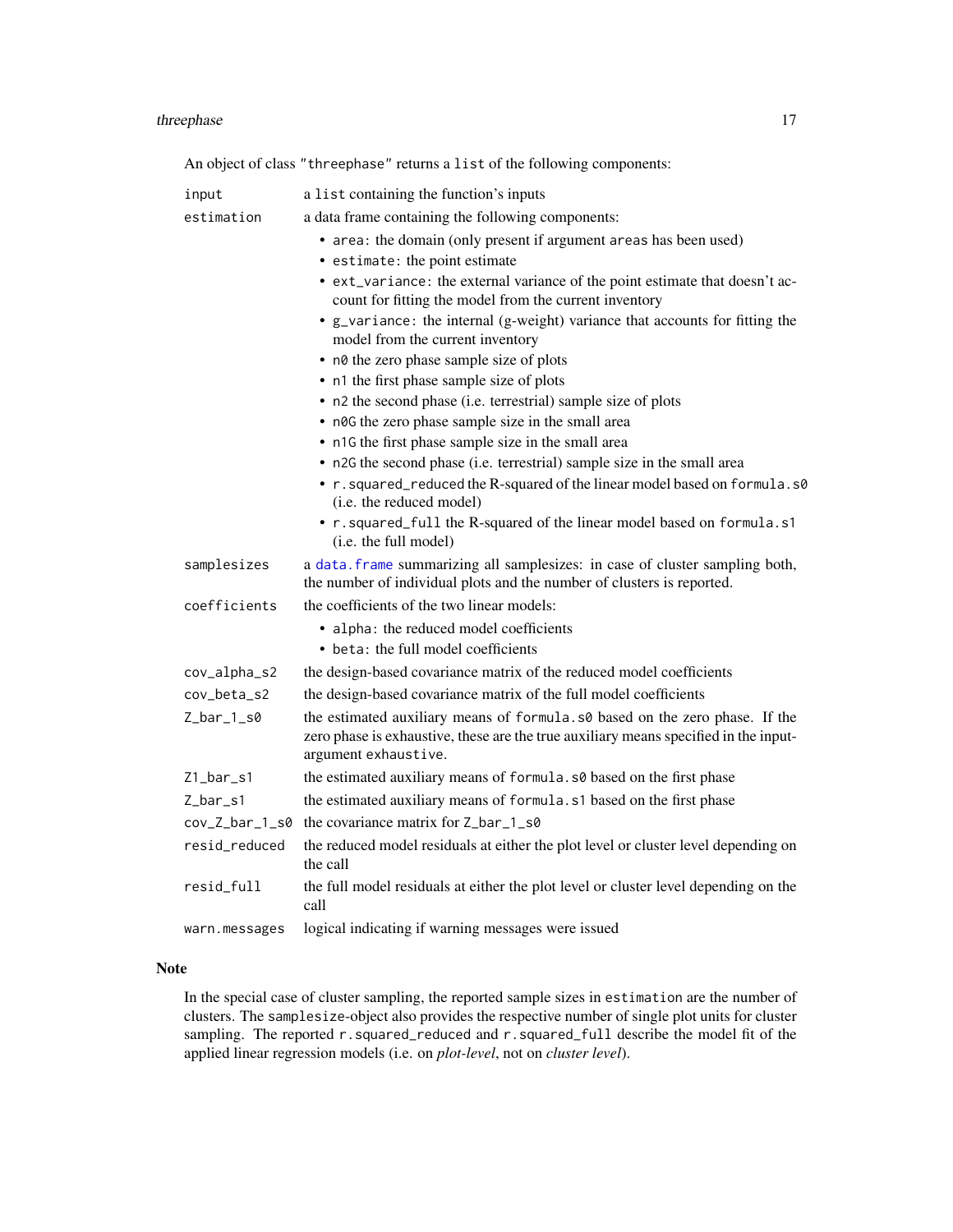#### <span id="page-16-0"></span>three phase through the contract of the contract of the contract of the contract of the contract of the contract of the contract of the contract of the contract of the contract of the contract of the contract of the contra

An object of class "threephase" returns a list of the following components:

| input          | a list containing the function's inputs                                                                                                                |
|----------------|--------------------------------------------------------------------------------------------------------------------------------------------------------|
| estimation     | a data frame containing the following components:                                                                                                      |
|                | • area: the domain (only present if argument areas has been used)                                                                                      |
|                | • estimate: the point estimate                                                                                                                         |
|                | • ext_variance: the external variance of the point estimate that doesn't ac-<br>count for fitting the model from the current inventory                 |
|                | • g_variance: the internal (g-weight) variance that accounts for fitting the<br>model from the current inventory                                       |
|                | • n0 the zero phase sample size of plots                                                                                                               |
|                | • n1 the first phase sample size of plots                                                                                                              |
|                | • n2 the second phase (i.e. terrestrial) sample size of plots                                                                                          |
|                | • n0G the zero phase sample size in the small area                                                                                                     |
|                | • n1G the first phase sample size in the small area                                                                                                    |
|                | • n2G the second phase (i.e. terrestrial) sample size in the small area                                                                                |
|                | • r. squared_reduced the R-squared of the linear model based on formula.s0<br>(i.e. the reduced model)                                                 |
|                | • r. squared_full the R-squared of the linear model based on formula.s1<br>(i.e. the full model)                                                       |
| samplesizes    | a data. frame summarizing all samplesizes: in case of cluster sampling both,<br>the number of individual plots and the number of clusters is reported. |
| coefficients   | the coefficients of the two linear models:                                                                                                             |
|                | • alpha: the reduced model coefficients<br>• beta: the full model coefficients                                                                         |
| cov_alpha_s2   | the design-based covariance matrix of the reduced model coefficients                                                                                   |
| cov_beta_s2    | the design-based covariance matrix of the full model coefficients                                                                                      |
| $Z_bar_1_s0$   | the estimated auxiliary means of formula. s0 based on the zero phase. If the                                                                           |
|                | zero phase is exhaustive, these are the true auxiliary means specified in the input-<br>argument exhaustive.                                           |
| $Z1$ _bar_s1   | the estimated auxiliary means of formula. s0 based on the first phase                                                                                  |
| $Z_bar_s1$     | the estimated auxiliary means of formula. s1 based on the first phase                                                                                  |
| cov_Z_bar_1_s0 | the covariance matrix for Z_bar_1_s0                                                                                                                   |
| resid_reduced  | the reduced model residuals at either the plot level or cluster level depending on<br>the call                                                         |
| resid_full     | the full model residuals at either the plot level or cluster level depending on the<br>call                                                            |
| warn.messages  | logical indicating if warning messages were issued                                                                                                     |

#### Note

In the special case of cluster sampling, the reported sample sizes in estimation are the number of clusters. The samplesize-object also provides the respective number of single plot units for cluster sampling. The reported r.squared\_reduced and r.squared\_full describe the model fit of the applied linear regression models (i.e. on *plot-level*, not on *cluster level*).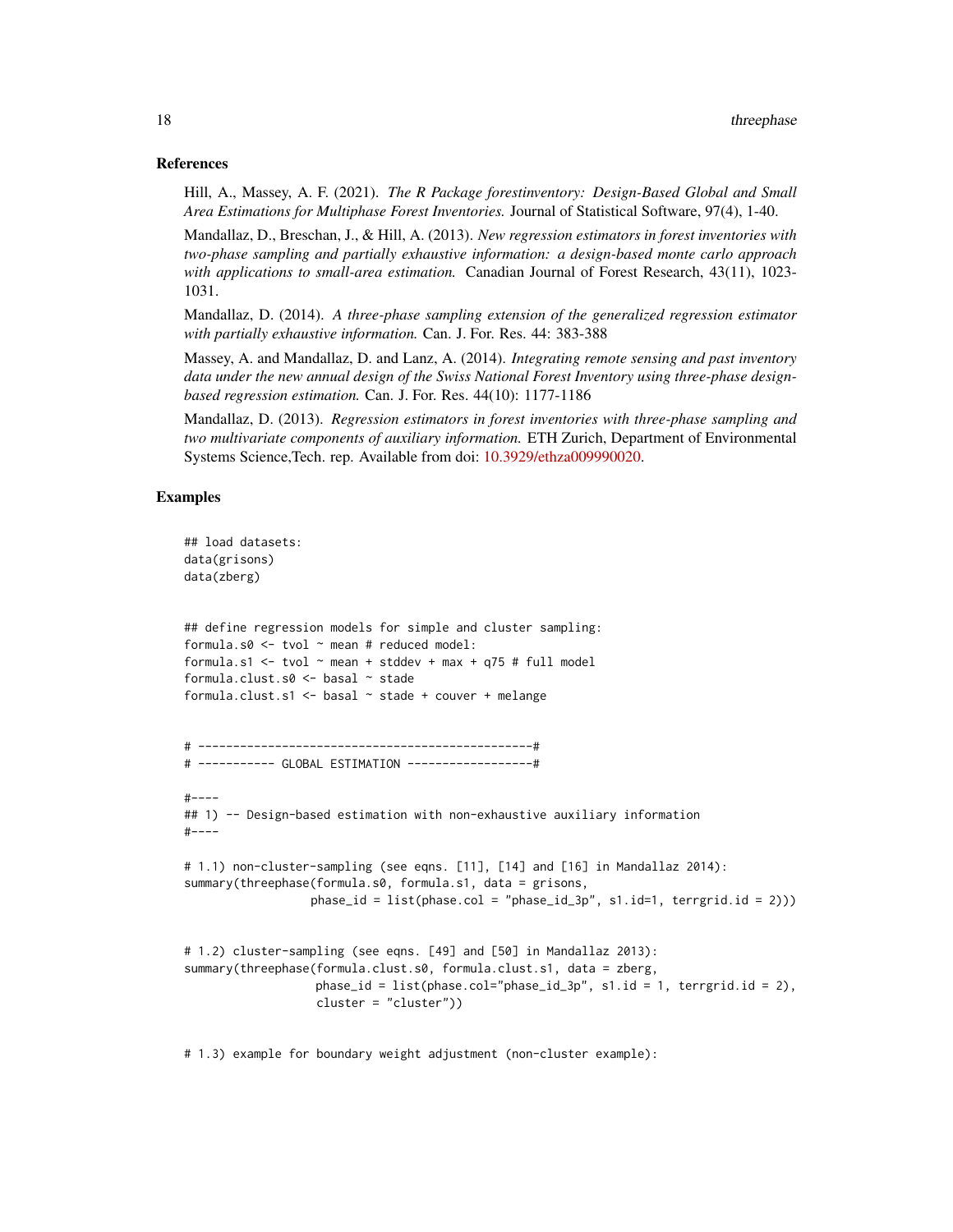#### References

Hill, A., Massey, A. F. (2021). *The R Package forestinventory: Design-Based Global and Small Area Estimations for Multiphase Forest Inventories.* Journal of Statistical Software, 97(4), 1-40.

Mandallaz, D., Breschan, J., & Hill, A. (2013). *New regression estimators in forest inventories with two-phase sampling and partially exhaustive information: a design-based monte carlo approach with applications to small-area estimation.* Canadian Journal of Forest Research, 43(11), 1023- 1031.

Mandallaz, D. (2014). *A three-phase sampling extension of the generalized regression estimator with partially exhaustive information.* Can. J. For. Res. 44: 383-388

Massey, A. and Mandallaz, D. and Lanz, A. (2014). *Integrating remote sensing and past inventory data under the new annual design of the Swiss National Forest Inventory using three-phase designbased regression estimation.* Can. J. For. Res. 44(10): 1177-1186

Mandallaz, D. (2013). *Regression estimators in forest inventories with three-phase sampling and two multivariate components of auxiliary information.* ETH Zurich, Department of Environmental Systems Science,Tech. rep. Available from doi: [10.3929/ethza009990020.](https://doi.org/10.3929/ethz-a-009990020)

#### Examples

```
## load datasets:
data(grisons)
data(zberg)
## define regression models for simple and cluster sampling:
formula.s0 \le tvol \sim mean # reduced model:
formula.s1 <- tvol \sim mean + stddev + max + q75 # full model
formula.clust.s0 <- basal ~ stade
formula.clust.s1 <- basal ~ stade + couver + melange
# ------------------------------------------------#
# ----------- GLOBAL ESTIMATION ------------------#
#----
## 1) -- Design-based estimation with non-exhaustive auxiliary information
#----
# 1.1) non-cluster-sampling (see eqns. [11], [14] and [16] in Mandallaz 2014):
summary(threephase(formula.s0, formula.s1, data = grisons,
                  phase_id = list(phase.col = "phase_id_3p", s1.id=1, terrgrid.id = 2)))
# 1.2) cluster-sampling (see eqns. [49] and [50] in Mandallaz 2013):
summary(threephase(formula.clust.s0, formula.clust.s1, data = zberg,
                   phase_id = list(phase.col="phase_id_3p", s1.id = 1, terrgrid.id = 2),
                   cluster = "cluster"))
```
# 1.3) example for boundary weight adjustment (non-cluster example):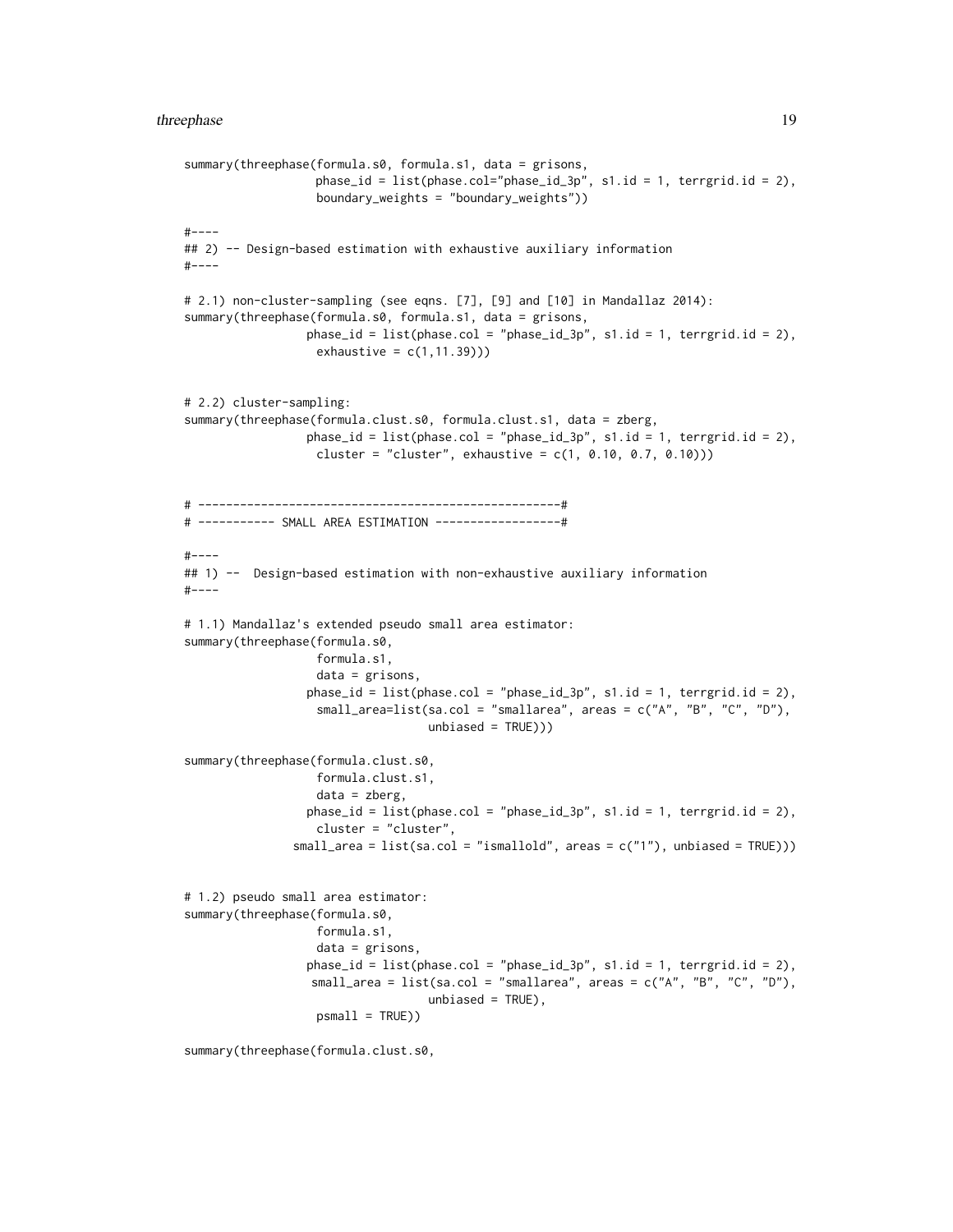```
summary(threephase(formula.s0, formula.s1, data = grisons,
                   phase_id = list(phase.col="phase_id_3p", s1.id = 1, terrgrid.id = 2),
                   boundary_weights = "boundary_weights"))
#----
## 2) -- Design-based estimation with exhaustive auxiliary information
#----
# 2.1) non-cluster-sampling (see eqns. [7], [9] and [10] in Mandallaz 2014):
summary(threephase(formula.s0, formula.s1, data = grisons,
                 phase_id = list(phase.col = "phase_id_3p", s1.id = 1, terrgrid.id = 2),
                   exhaustive = c(1, 11.39))# 2.2) cluster-sampling:
summary(threephase(formula.clust.s0, formula.clust.s1, data = zberg,
                 phase_id = list(phase,col = "phase_id_3p", sl.id = 1, territorial_id = 2),cluster = "cluster", exhaustive = c(1, 0.10, 0.7, 0.10)))# ----------------------------------------------------#
# ----------- SMALL AREA ESTIMATION ------------------#
#----
## 1) -- Design-based estimation with non-exhaustive auxiliary information
#----
# 1.1) Mandallaz's extended pseudo small area estimator:
summary(threephase(formula.s0,
                   formula.s1,
                   data = grisons,
                 phase_id = list(phase,col = "phase_id_3p", sl.id = 1, terrestrial = 2),small_area=list(sa.col = "smallarea", areas = c("A", "B", "C", "D"),
                                   unbiased = TRUE)))
summary(threephase(formula.clust.s0,
                   formula.clust.s1,
                   data = zberg,
                 phase_id = list(phase.col = "phase_id_3p", s1.id = 1, terrgrid.id = 2),cluster = "cluster",
               small_area = list(sa.col = "ismallold", areas = c("1"), unbiased = TRUE)))
# 1.2) pseudo small area estimator:
summary(threephase(formula.s0,
                   formula.s1,
                   data = grisons,
                 phase_id = list(phase,col = "phase_id_3p", s1.id = 1, territorial_id = 2),small_area = list(sa.col = "smallarea", areas = c("A", "B", "C", "D"),
                                   unbiased = TRUE),
                   psmall = TRUE))
```
summary(threephase(formula.clust.s0,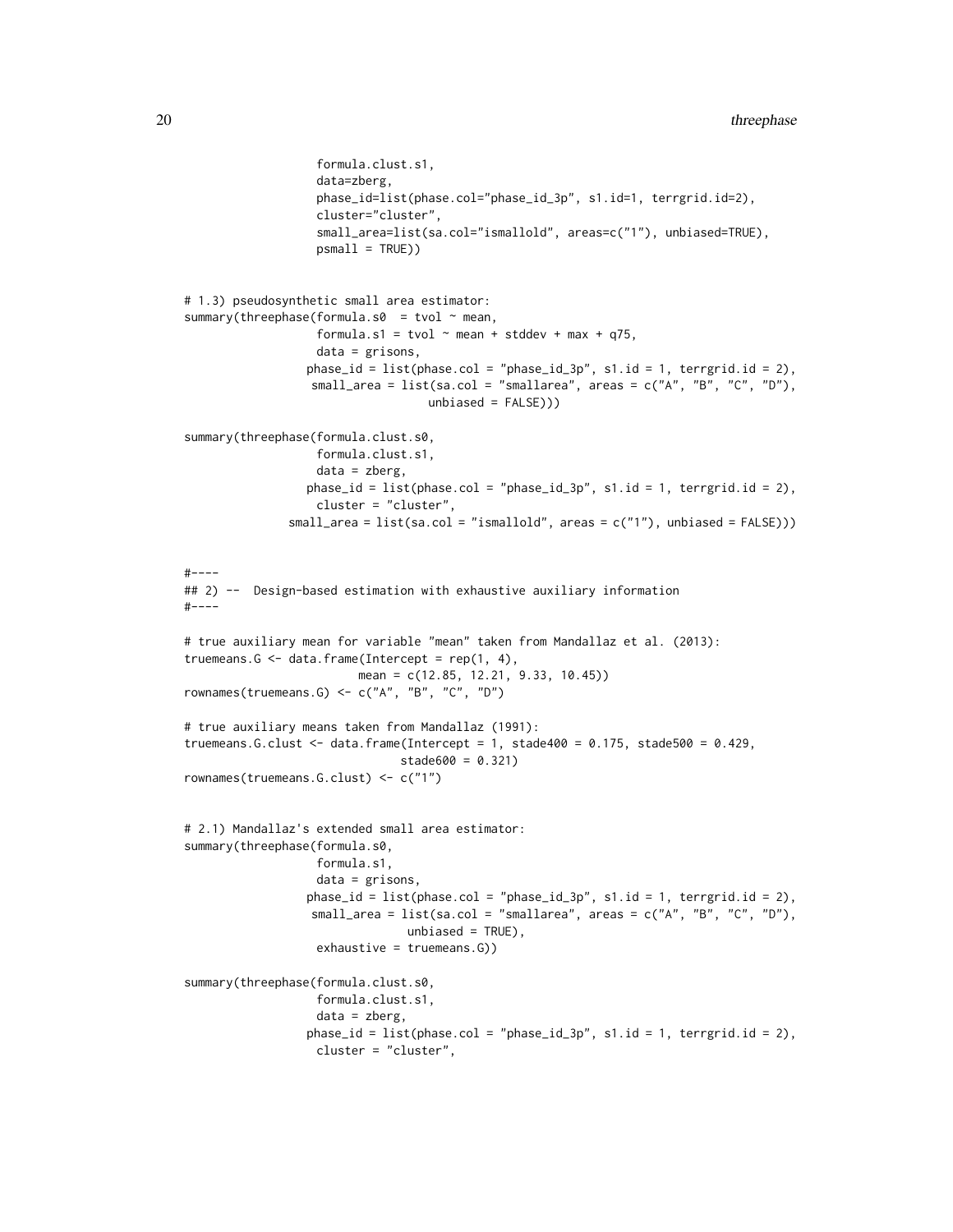```
formula.clust.s1,
                   data=zberg,
                   phase_id=list(phase.col="phase_id_3p", s1.id=1, terrgrid.id=2),
                   cluster="cluster",
                   small_area=list(sa.col="ismallold", areas=c("1"), unbiased=TRUE),
                   psmall = TRUE))
# 1.3) pseudosynthetic small area estimator:
summary(threephase(formula.s0 = tvol \sim mean,
                   formula.s1 = tvol \sim mean + stddev + max + q75,
                   data = grisons,
                 phase_id = list(phase,col = "phase_id_3p", s1.id = 1, terrestrial = 2),small_area = list(sa.col = "smallarea", areas = c("A", "B", "C", "D"),
                                   unbiased = FALSE)))
summary(threephase(formula.clust.s0,
                   formula.clust.s1,
                   data = zberg,
                 phase_id = list(phase.col = "phase_id_3p", s1.id = 1, terrgrid.id = 2),cluster = "cluster",
               small_area = list(sa.col = "ismallold", areas = c("1"), unbiased = FALSE)))
#-----## 2) -- Design-based estimation with exhaustive auxiliary information
#----
# true auxiliary mean for variable "mean" taken from Mandallaz et al. (2013):
truemeans.G \leq data.frame(Intercept = rep(1, 4),
                         mean = c(12.85, 12.21, 9.33, 10.45))
rownames(truemeans.G) <- c("A", "B", "C", "D")
# true auxiliary means taken from Mandallaz (1991):
truemeans.G.clust <- data.frame(Intercept = 1, stade400 = 0.175, stade500 = 0.429,
                               stade600 = 0.321)
rownames(truemeans.G.clust) <- c("1")
# 2.1) Mandallaz's extended small area estimator:
summary(threephase(formula.s0,
                   formula.s1,
                   data = grisons,
                 phase_id = list(phase.col = "phase_id_3p", s1.id = 1, terrgrid.id = 2),
                  small_area = list(sa.col = "smallarea", areas = c("A", "B", "C", "D"),unbiased = TRUE),
                   exhaustive = truemeans.G))
summary(threephase(formula.clust.s0,
                  formula.clust.s1,
                   data = zberg,
                 phase_id = list(phase,col = "phase_id_3p", s1.id = 1, terrestrial = 2),cluster = "cluster",
```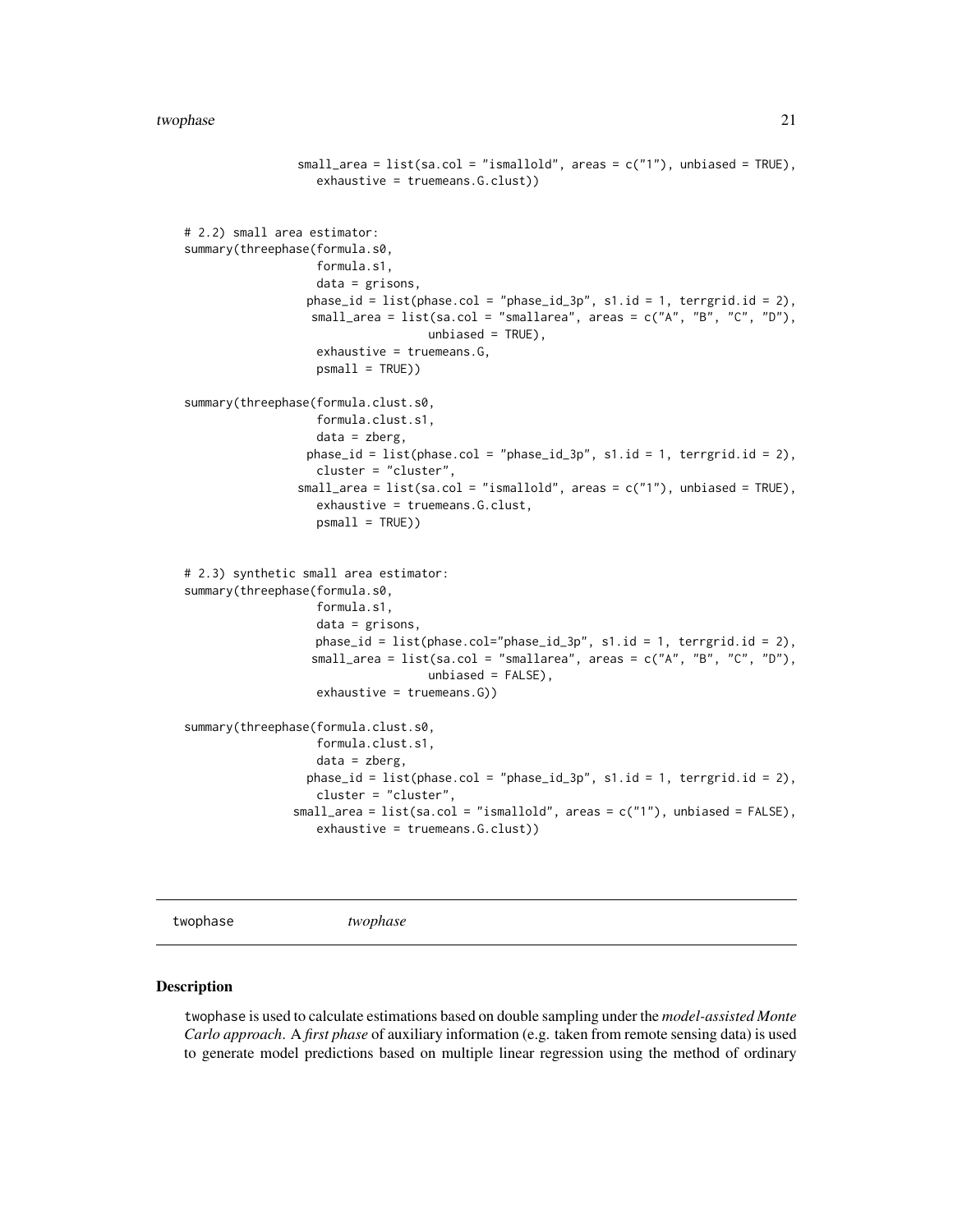```
small_area = list(sa,col = "ismalled", areas = c("1"), unbiased = TRUE),exhaustive = truemeans.G.clust))
# 2.2) small area estimator:
summary(threephase(formula.s0,
                   formula.s1,
                   data = grisons,
                 phase_id = list(phase,col = "phase_id_3p", sl.id = 1, terrestrial = 2),small_area = list(sa.col = "smallarea", areas = c("A", "B", "C", "D"),
                                   unbiased = TRUE),
                   exhaustive = truemeans.G,
                   psmall = TRUE))
summary(threephase(formula.clust.s0,
                   formula.clust.s1,
                   data = zberg,
                 phase_id = list(phase.col = "phase_id_3p", s1.id = 1, terrgrid.id = 2),
                   cluster = "cluster",
                small_area = list(sa.col = "ismallold", areas = c("1"), unbiased = TRUE),
                   exhaustive = truemeans.G.clust,
                   psmall = TRUE))
# 2.3) synthetic small area estimator:
summary(threephase(formula.s0,
                   formula.s1,
                   data = grisons,
                   phase_id = list(phase.col="phase_id_3p", s1.id = 1, terrgrid.id = 2),
                  small_area = list(sa.col = "smallarea", areas = c("A", "B", "C", "D"),
                                   unbiased = FALSE),
                   exhaustive = truemeans.G))
summary(threephase(formula.clust.s0,
                   formula.clust.s1,
                   data = zberg,
                 phase_id = list(phase,col = "phase_id_3p", s1.id = 1, terrgrid.id = 2),cluster = "cluster",
                small_area = list(sa.col = "ismallold", areas = c("1"), unbiased = FALSE),
                   exhaustive = truemeans.G.clust))
```
<span id="page-20-1"></span>twophase *twophase*

#### Description

twophase is used to calculate estimations based on double sampling under the *model-assisted Monte Carlo approach*. A *first phase* of auxiliary information (e.g. taken from remote sensing data) is used to generate model predictions based on multiple linear regression using the method of ordinary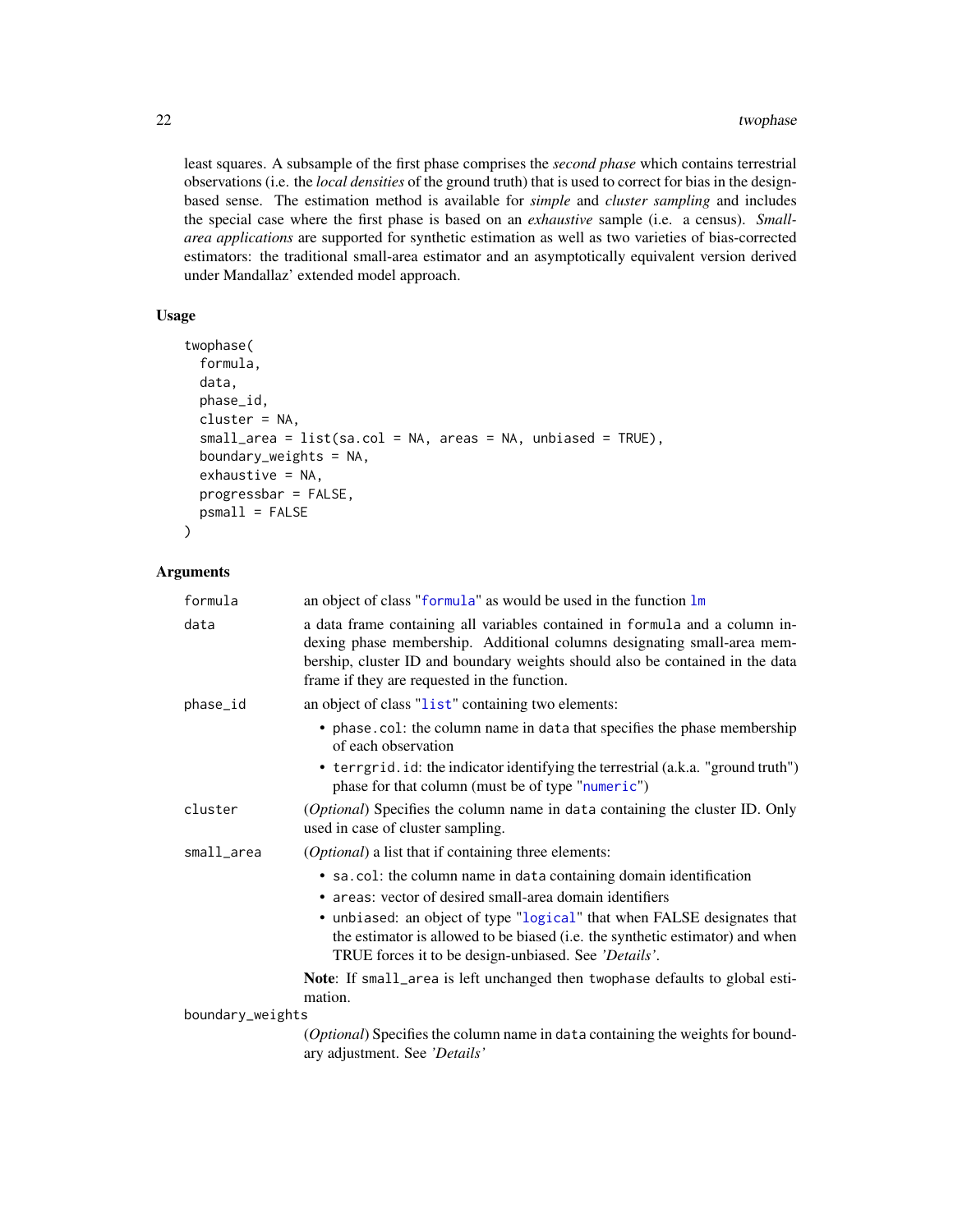least squares. A subsample of the first phase comprises the *second phase* which contains terrestrial observations (i.e. the *local densities* of the ground truth) that is used to correct for bias in the designbased sense. The estimation method is available for *simple* and *cluster sampling* and includes the special case where the first phase is based on an *exhaustive* sample (i.e. a census). *Smallarea applications* are supported for synthetic estimation as well as two varieties of bias-corrected estimators: the traditional small-area estimator and an asymptotically equivalent version derived under Mandallaz' extended model approach.

#### Usage

```
twophase(
  formula,
  data,
 phase_id,
  cluster = NA,
  small\_area = list(sa.col = NA, areas = NA, unbiased = TRUE),boundary_weights = NA,
  ext{iv}e = NA,
 progressbar = FALSE,
 psmall = FALSE
\mathcal{L}
```
#### Arguments

| formula          | an object of class "formula" as would be used in the function lm                                                                                                                                                                                                                        |  |
|------------------|-----------------------------------------------------------------------------------------------------------------------------------------------------------------------------------------------------------------------------------------------------------------------------------------|--|
| data             | a data frame containing all variables contained in formula and a column in-<br>dexing phase membership. Additional columns designating small-area mem-<br>bership, cluster ID and boundary weights should also be contained in the data<br>frame if they are requested in the function. |  |
| phase_id         | an object of class "list" containing two elements:                                                                                                                                                                                                                                      |  |
|                  | • phase.col: the column name in data that specifies the phase membership<br>of each observation                                                                                                                                                                                         |  |
|                  | • terrgrid. id: the indicator identifying the terrestrial (a.k.a. "ground truth")<br>phase for that column (must be of type "numeric")                                                                                                                                                  |  |
| cluster          | (Optional) Specifies the column name in data containing the cluster ID. Only<br>used in case of cluster sampling.                                                                                                                                                                       |  |
| small_area       | ( <i>Optional</i> ) a list that if containing three elements:                                                                                                                                                                                                                           |  |
|                  | • sa.col: the column name in data containing domain identification<br>• areas: vector of desired small-area domain identifiers                                                                                                                                                          |  |
|                  | • unbiased: an object of type "logical" that when FALSE designates that<br>the estimator is allowed to be biased (i.e. the synthetic estimator) and when<br>TRUE forces it to be design-unbiased. See 'Details'.                                                                        |  |
|                  | Note: If small_area is left unchanged then twophase defaults to global esti-<br>mation.                                                                                                                                                                                                 |  |
| boundary_weights |                                                                                                                                                                                                                                                                                         |  |
|                  | (Optional) Specifies the column name in data containing the weights for bound-<br>ary adjustment. See 'Details'                                                                                                                                                                         |  |

<span id="page-21-0"></span>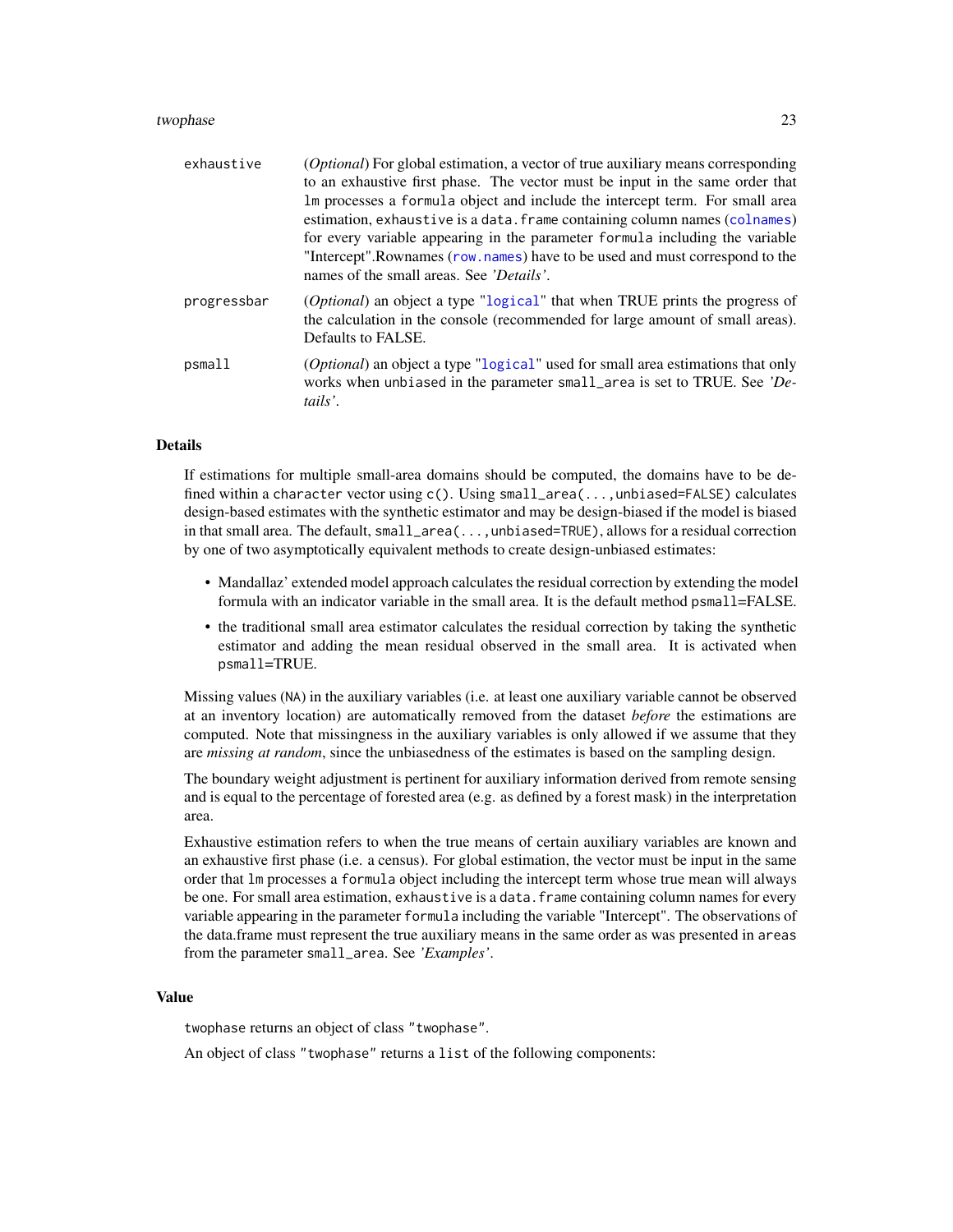#### <span id="page-22-0"></span>twophase 23

| exhaustive  | <i>(Optional)</i> For global estimation, a vector of true auxiliary means corresponding<br>to an exhaustive first phase. The vector must be input in the same order that<br>Im processes a formula object and include the intercept term. For small area<br>estimation, exhaustive is a data. frame containing column names (colnames)<br>for every variable appearing in the parameter formula including the variable<br>"Intercept".Rownames (row.names) have to be used and must correspond to the<br>names of the small areas. See <i>'Details'</i> . |
|-------------|-----------------------------------------------------------------------------------------------------------------------------------------------------------------------------------------------------------------------------------------------------------------------------------------------------------------------------------------------------------------------------------------------------------------------------------------------------------------------------------------------------------------------------------------------------------|
| progressbar | (Optional) an object a type "logical" that when TRUE prints the progress of<br>the calculation in the console (recommended for large amount of small areas).<br>Defaults to FALSE.                                                                                                                                                                                                                                                                                                                                                                        |
| psmall      | (Optional) an object a type "logical" used for small area estimations that only<br>works when unbiased in the parameter small_area is set to TRUE. See 'De-<br>tails'.                                                                                                                                                                                                                                                                                                                                                                                    |

#### Details

If estimations for multiple small-area domains should be computed, the domains have to be defined within a character vector using c(). Using small\_area(...,unbiased=FALSE) calculates design-based estimates with the synthetic estimator and may be design-biased if the model is biased in that small area. The default, small\_area(...,unbiased=TRUE), allows for a residual correction by one of two asymptotically equivalent methods to create design-unbiased estimates:

- Mandallaz' extended model approach calculates the residual correction by extending the model formula with an indicator variable in the small area. It is the default method psmall=FALSE.
- the traditional small area estimator calculates the residual correction by taking the synthetic estimator and adding the mean residual observed in the small area. It is activated when psmall=TRUE.

Missing values (NA) in the auxiliary variables (i.e. at least one auxiliary variable cannot be observed at an inventory location) are automatically removed from the dataset *before* the estimations are computed. Note that missingness in the auxiliary variables is only allowed if we assume that they are *missing at random*, since the unbiasedness of the estimates is based on the sampling design.

The boundary weight adjustment is pertinent for auxiliary information derived from remote sensing and is equal to the percentage of forested area (e.g. as defined by a forest mask) in the interpretation area.

Exhaustive estimation refers to when the true means of certain auxiliary variables are known and an exhaustive first phase (i.e. a census). For global estimation, the vector must be input in the same order that lm processes a formula object including the intercept term whose true mean will always be one. For small area estimation, exhaustive is a data. frame containing column names for every variable appearing in the parameter formula including the variable "Intercept". The observations of the data.frame must represent the true auxiliary means in the same order as was presented in areas from the parameter small\_area. See *'Examples'*.

#### Value

twophase returns an object of class "twophase".

An object of class "twophase" returns a list of the following components: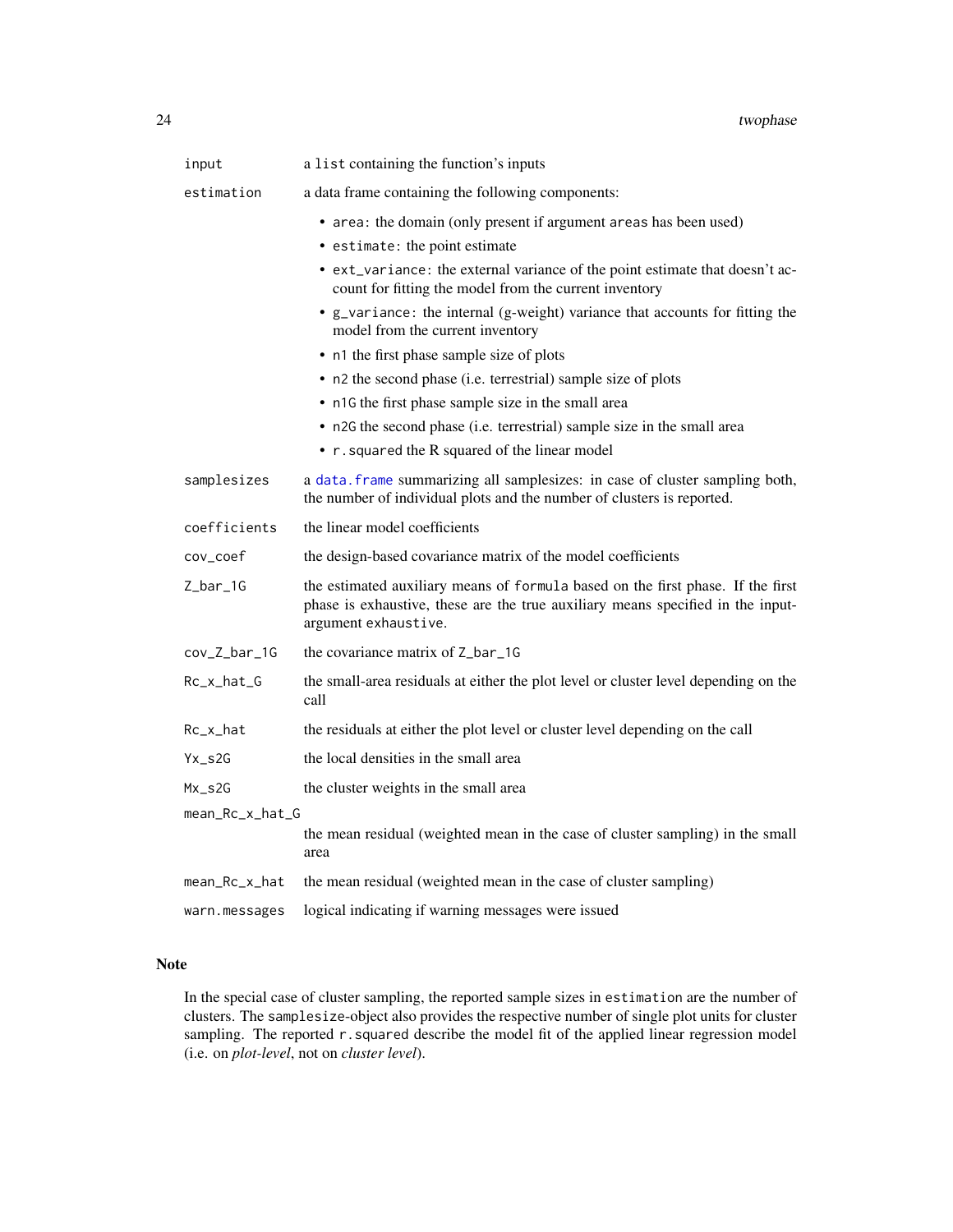<span id="page-23-0"></span>

| input                 | a list containing the function's inputs                                                                                                                                                    |  |
|-----------------------|--------------------------------------------------------------------------------------------------------------------------------------------------------------------------------------------|--|
| estimation            | a data frame containing the following components:                                                                                                                                          |  |
|                       | • area: the domain (only present if argument areas has been used)                                                                                                                          |  |
|                       | • estimate: the point estimate                                                                                                                                                             |  |
|                       | • ext_variance: the external variance of the point estimate that doesn't ac-<br>count for fitting the model from the current inventory                                                     |  |
|                       | • g_variance: the internal (g-weight) variance that accounts for fitting the<br>model from the current inventory                                                                           |  |
|                       | • n1 the first phase sample size of plots                                                                                                                                                  |  |
|                       | • n2 the second phase (i.e. terrestrial) sample size of plots                                                                                                                              |  |
|                       | • n1G the first phase sample size in the small area                                                                                                                                        |  |
|                       | • n2G the second phase (i.e. terrestrial) sample size in the small area                                                                                                                    |  |
|                       | • r. squared the R squared of the linear model                                                                                                                                             |  |
| samplesizes           | a data. frame summarizing all samplesizes: in case of cluster sampling both,<br>the number of individual plots and the number of clusters is reported.                                     |  |
| coefficients          | the linear model coefficients                                                                                                                                                              |  |
| cov_coef              | the design-based covariance matrix of the model coefficients                                                                                                                               |  |
| $Z_bar_1G$            | the estimated auxiliary means of formula based on the first phase. If the first<br>phase is exhaustive, these are the true auxiliary means specified in the input-<br>argument exhaustive. |  |
| cov_Z_bar_1G          | the covariance matrix of Z_bar_1G                                                                                                                                                          |  |
| Rc_x_hat_G            | the small-area residuals at either the plot level or cluster level depending on the<br>call                                                                                                |  |
| Rc_x_hat              | the residuals at either the plot level or cluster level depending on the call                                                                                                              |  |
| $Yx$ <sub>_</sub> s2G | the local densities in the small area                                                                                                                                                      |  |
| $Mx$ <sub>_</sub> s2G | the cluster weights in the small area                                                                                                                                                      |  |
| mean_Rc_x_hat_G       |                                                                                                                                                                                            |  |
|                       | the mean residual (weighted mean in the case of cluster sampling) in the small<br>area                                                                                                     |  |
| mean_Rc_x_hat         | the mean residual (weighted mean in the case of cluster sampling)                                                                                                                          |  |
| warn.messages         | logical indicating if warning messages were issued                                                                                                                                         |  |

#### Note

In the special case of cluster sampling, the reported sample sizes in estimation are the number of clusters. The samplesize-object also provides the respective number of single plot units for cluster sampling. The reported r.squared describe the model fit of the applied linear regression model (i.e. on *plot-level*, not on *cluster level*).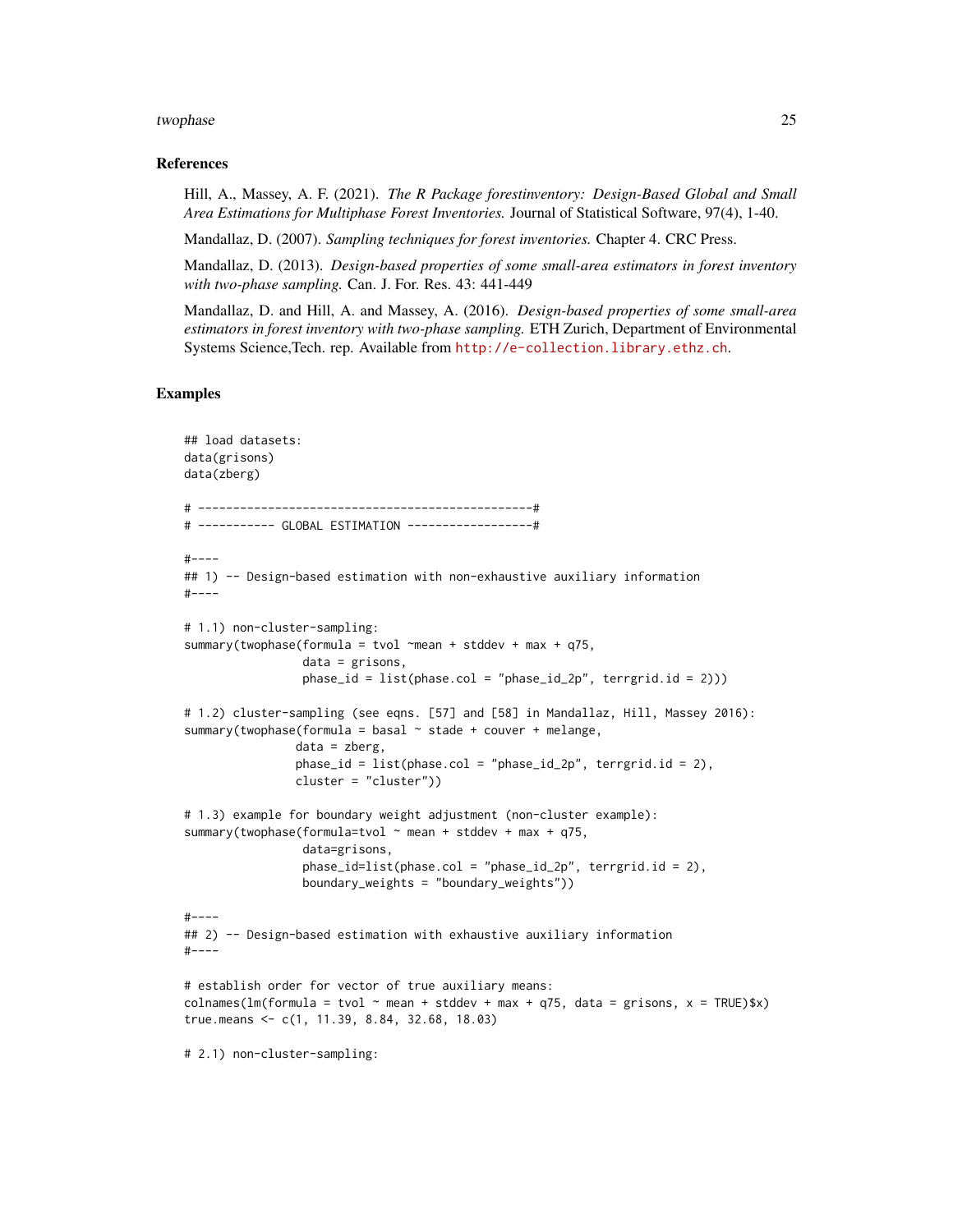#### twophase 25

#### References

Hill, A., Massey, A. F. (2021). *The R Package forestinventory: Design-Based Global and Small Area Estimations for Multiphase Forest Inventories.* Journal of Statistical Software, 97(4), 1-40.

Mandallaz, D. (2007). *Sampling techniques for forest inventories.* Chapter 4. CRC Press.

Mandallaz, D. (2013). *Design-based properties of some small-area estimators in forest inventory with two-phase sampling.* Can. J. For. Res. 43: 441-449

Mandallaz, D. and Hill, A. and Massey, A. (2016). *Design-based properties of some small-area estimators in forest inventory with two-phase sampling.* ETH Zurich, Department of Environmental Systems Science,Tech. rep. Available from <http://e-collection.library.ethz.ch>.

#### Examples

```
## load datasets:
data(grisons)
data(zberg)
# ------------------------------------------------#
# ----------- GLOBAL ESTIMATION ------------------#
#----
## 1) -- Design-based estimation with non-exhaustive auxiliary information
#----
# 1.1) non-cluster-sampling:
summary(twophase(formula = tvol \simmean + stddev + max + q75,
                 data = grisons,
                 phase_id = list(phase.col = "phase_id_2p", terrgrid.id = 2)))
# 1.2) cluster-sampling (see eqns. [57] and [58] in Mandallaz, Hill, Massey 2016):
summary(twophase(formula = basal \sim stade + couver + melange,
                data = zberg,
                phase_id = list(phase,col = "phase_id_2p", 'terrgrid.id = 2),cluster = "cluster"))
# 1.3) example for boundary weight adjustment (non-cluster example):
summary(twophase(formula=tvol \sim mean + stddev + max + q75,
                 data=grisons,
                 phase_id=list(phase.col = "phase_id_2p", terrgrid.id = 2),
                 boundary_weights = "boundary_weights"))
#-----## 2) -- Design-based estimation with exhaustive auxiliary information
#----
# establish order for vector of true auxiliary means:
colnames(lm(formula = tvol ~ mean + stddev + max + q75, data = grisons, x = TRUE) (x)true.means <- c(1, 11.39, 8.84, 32.68, 18.03)
# 2.1) non-cluster-sampling:
```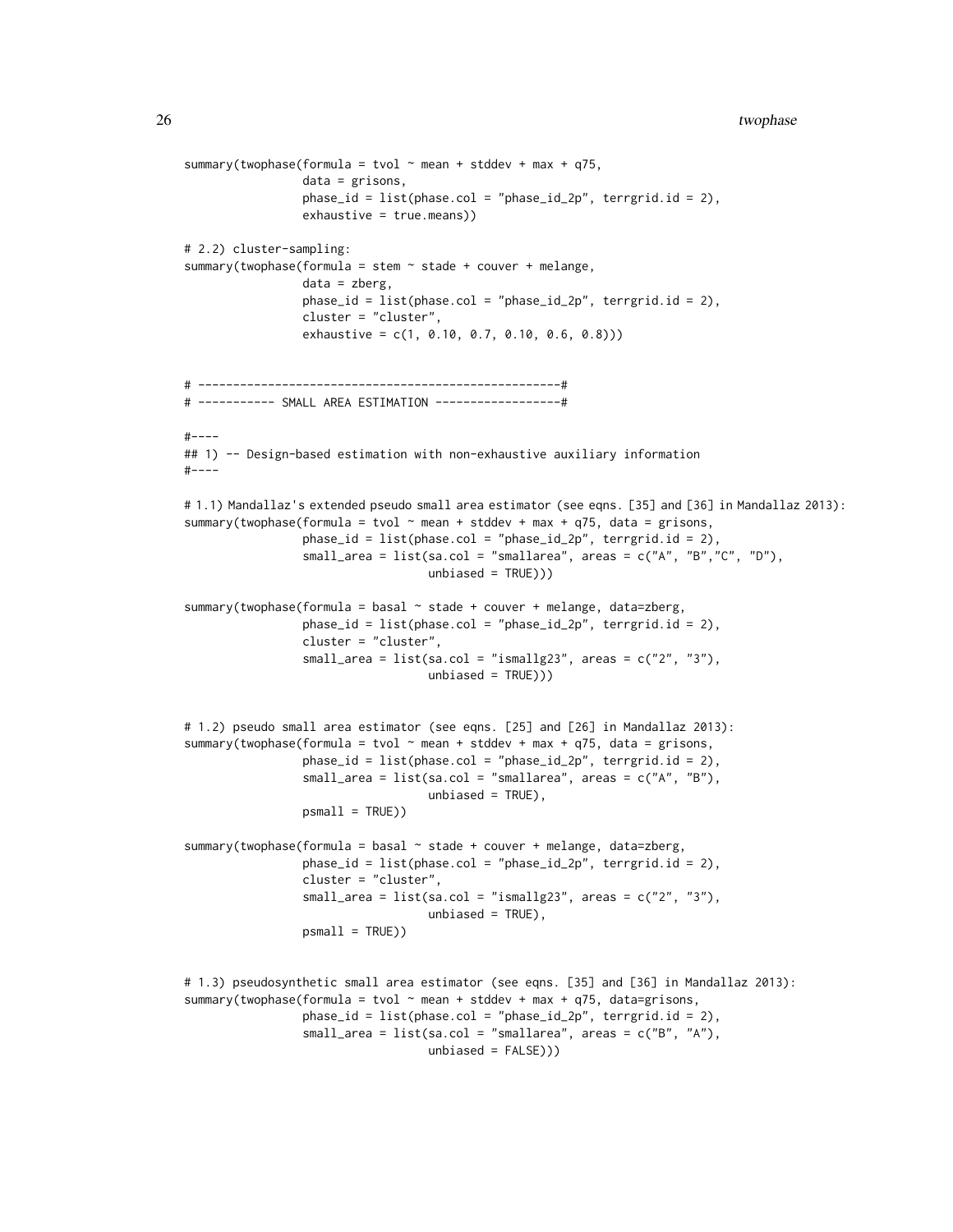```
summary(twophase(formula = tvol \sim mean + stddev + max + q75,
                 data = grisons,
                 phase_id = list(phase.col = "phase_id_2p", terrgrid.id = 2),
                 exhaustive = true.means))
# 2.2) cluster-sampling:
summary(twophase(formula = stem \sim stade + couver + melange,
                 data = zberg,phase_id = list(phase.col = "phase_id_2p", 'terrgrid.id = 2),cluster = "cluster",
                 exhaustive = c(1, 0.10, 0.7, 0.10, 0.6, 0.8)))
# ----------------------------------------------------#
# ----------- SMALL AREA ESTIMATION ------------------#
#----
## 1) -- Design-based estimation with non-exhaustive auxiliary information
#-----# 1.1) Mandallaz's extended pseudo small area estimator (see eqns. [35] and [36] in Mandallaz 2013):
summary(twophase(formula = tvol \sim mean + stddev + max + q75, data = grisons,
                 phase_id = list(phase.col = "phase_id_2p", terrgrid.id = 2),
                 small_area = list(sa.col = "smallarea", areas = c("A", "B","C", "D"),
                                   unbiased = TRUE)))
summary(twophase(formula = basal \sim stade + couver + melange, data=zberg,
                 phase_id = list(phase,col = "phase_id_2p", 'terrgrid.id = 2),cluster = "cluster",
                 small_area = list(sa.col = "ismallg23", areas = c("2", "3"),
                                   unbiased = TRUE)))
# 1.2) pseudo small area estimator (see eqns. [25] and [26] in Mandallaz 2013):
summary(twophase(formula = tvol \sim mean + stddev + max + q75, data = grisons,
                 phase_id = list(phase.col = "phase_id_2p", terrgrid.id = 2),
                 small_\text{area} = list(sa.col = "smallarea", areas = c("A", "B"),unbiased = TRUE),
                 psmall = TRUE))
summary(twophase(formula = basal \sim stade + couver + melange, data=zberg,
                 phase_id = list(phase.col = "phase_id_2p", terrgrid.id = 2),
                 cluster = "cluster",
                 small_area = list(sa.col = "ismallg23", areas = c("2", "3"),
                                   unbiased = TRUE),
                 psmall = TRUE))
# 1.3) pseudosynthetic small area estimator (see eqns. [35] and [36] in Mandallaz 2013):
summary(twophase(formula = tvol \sim mean + stddev + max + q75, data=grisons,
                 phase_id = list(phase.col = "phase_id_2p", terrgrid.id = 2),
                 small_\text{area} = list(sa.\text{col} = "small_\text{area", areas} = c("B", "A"),
```

```
unbiased = FALSE)))
```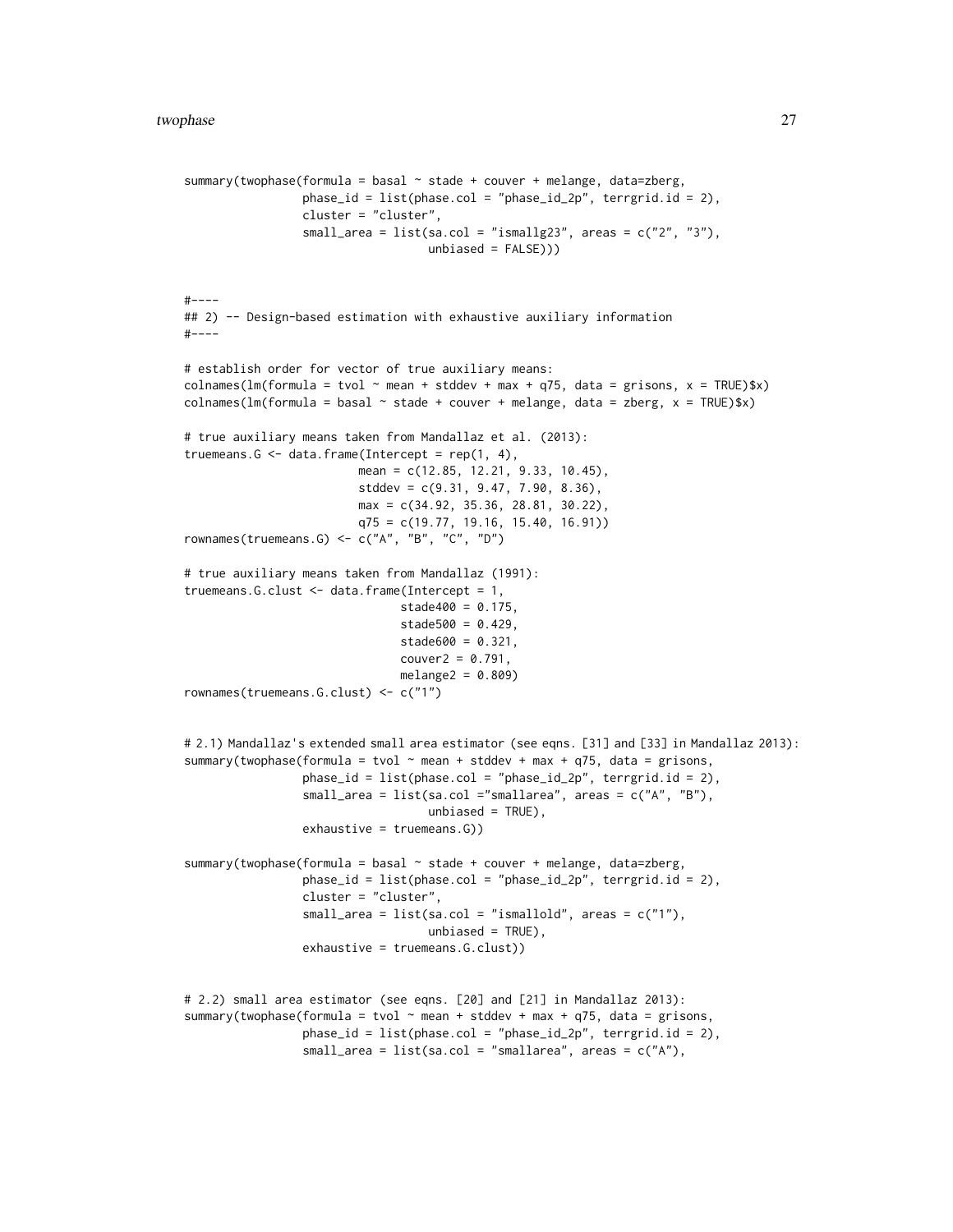```
summary(twophase(formula = basal \sim stade + couver + melange, data=zberg,
                 phase_id = list(phase.col = "phase_id_2p", terrgrid.id = 2),
                 cluster = "cluster",
                 small_area = list(sa.col = "ismallg23", areas = c("2", "3"),
                                   unbiased = FALSE)))
#----
## 2) -- Design-based estimation with exhaustive auxiliary information
#----
# establish order for vector of true auxiliary means:
colnames(lm(formula = tvol ~ mean + stddev + max + q75, data = grisons, x = TRUE)$x)
colnames(lm(formula = basal \sim state + couver + melange, data = zberg, x = TRUE)$x)
# true auxiliary means taken from Mandallaz et al. (2013):
truemeans.G \leq data.frame(Intercept = rep(1, 4),
                         mean = c(12.85, 12.21, 9.33, 10.45),
                         stddev = c(9.31, 9.47, 7.90, 8.36),
                         max = c(34.92, 35.36, 28.81, 30.22),
                         q75 = c(19.77, 19.16, 15.40, 16.91))
rownames(truemeans.G) <- c("A", "B", "C", "D")
# true auxiliary means taken from Mandallaz (1991):
truemeans.G.clust <- data.frame(Intercept = 1,
                               stade400 = 0.175,
                               stade500 = 0.429,
                               stade600 = 0.321,
                               couver2 = 0.791,melange2 = 0.809rownames(truemeans.G.clust) <- c("1")
# 2.1) Mandallaz's extended small area estimator (see eqns. [31] and [33] in Mandallaz 2013):
summary(twophase(formula = tvol \sim mean + stddev + max + q75, data = grisons,
                 phase_id = list(phase.col = "phase_id_2p", terrgrid.id = 2),
                 small_area = list(sa.col ="smallarea", areas = c("A", "B"),
                                   unbiased = TRUE),
                 exhaustive = truemeans.G))
summary(twophase(formula = basal \sim stade + couver + melange, data=zberg,
                 phase_id = list(phase.col = "phase_id_2p", terrgrid.id = 2),
                 cluster = "cluster",
                 small_area = list(sa.col = "ismallold", areas = c("1"),
                                   unbiased = TRUE),
                 exhaustive = truemeans.G.clust))
# 2.2) small area estimator (see eqns. [20] and [21] in Mandallaz 2013):
summary(twophase(formula = tvol \sim mean + stddev + max + q75, data = grisons,
                 phase_id = list(phase.col = "phase_id_2p", terrgrid.id = 2),
                 small_area = list(sa.col = "smallarea", areas = c("A"),
```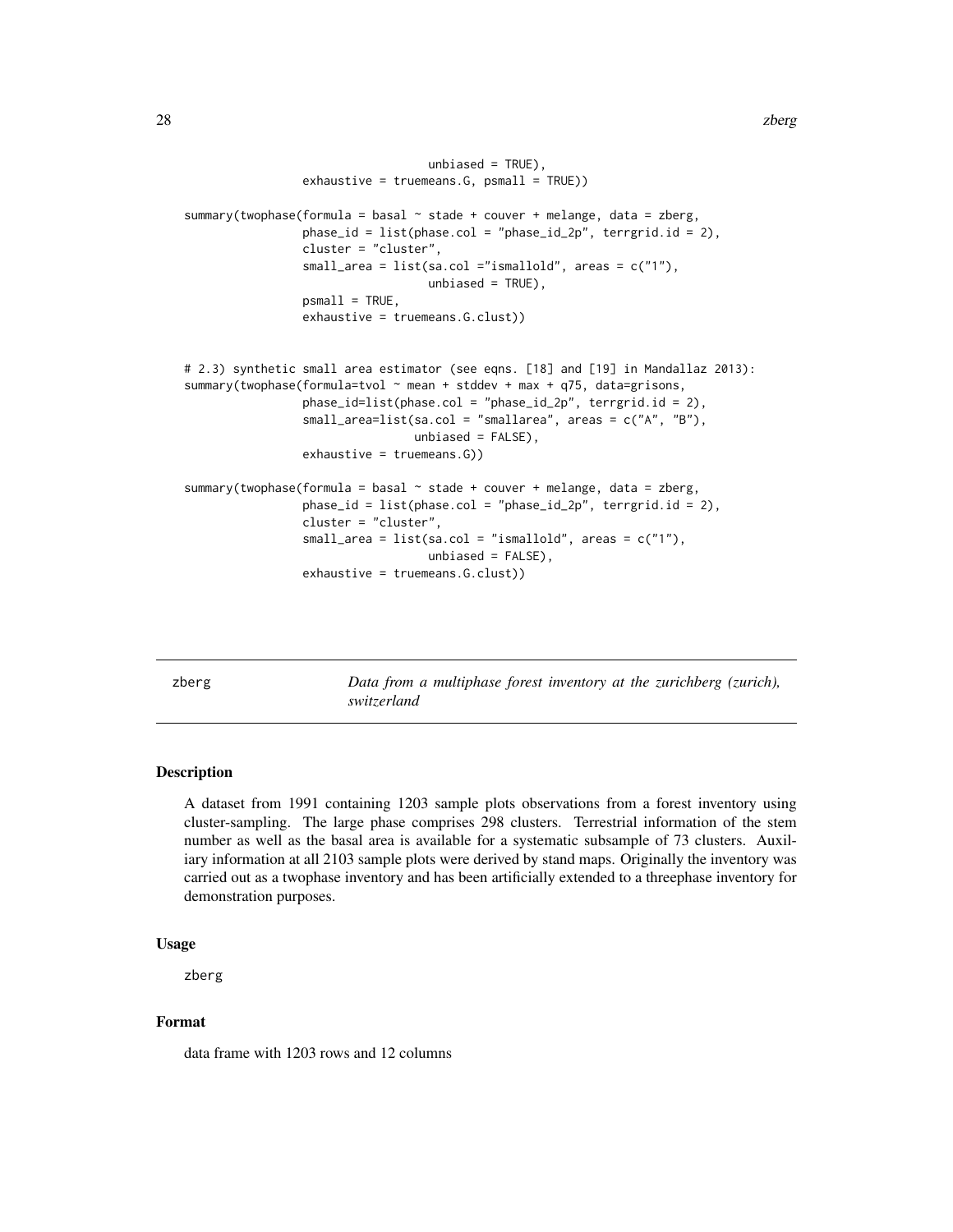```
unbiased = TRUE),
                 exhaustive = truemeans.G, psmall = TRUE))
summary(twophase(formula = basal \sim stade + couver + melange, data = zberg,
                 phase_id = list(phase.col = "phase_id_2p", terrgrid.id = 2),
                 cluster = "cluster",
                 small_area = list(sa.col ="ismallold", areas = c("1"),
                                   unbiased = TRUE),
                 psmall = TRUE,exhaustive = truemeans.G.clust))
# 2.3) synthetic small area estimator (see eqns. [18] and [19] in Mandallaz 2013):
summary(twophase(formula=tvol \sim mean + stddev + max + q75, data=grisons,
                 phase_id=list(phase.col = "phase_id_2p", terrgrid.id = 2),
                 small_area=list(sa.col = "smallarea", areas = c("A", "B"),
                                 unbiased = FALSE),
                 exhaustive = truemeans.G))
summary(twophase(formula = basal \sim stade + couver + melange, data = zberg,
                 phase_id = list(phase.col = "phase_id_2p", terrgrid.id = 2),
                 cluster = "cluster",
                 small_area = list(sa,col = "ismalled", areas = c("1"),unbiased = FALSE),
                 exhaustive = truemeans.G.clust))
```
zberg *Data from a multiphase forest inventory at the zurichberg (zurich), switzerland*

#### Description

A dataset from 1991 containing 1203 sample plots observations from a forest inventory using cluster-sampling. The large phase comprises 298 clusters. Terrestrial information of the stem number as well as the basal area is available for a systematic subsample of 73 clusters. Auxiliary information at all 2103 sample plots were derived by stand maps. Originally the inventory was carried out as a twophase inventory and has been artificially extended to a threephase inventory for demonstration purposes.

#### Usage

zberg

#### Format

data frame with 1203 rows and 12 columns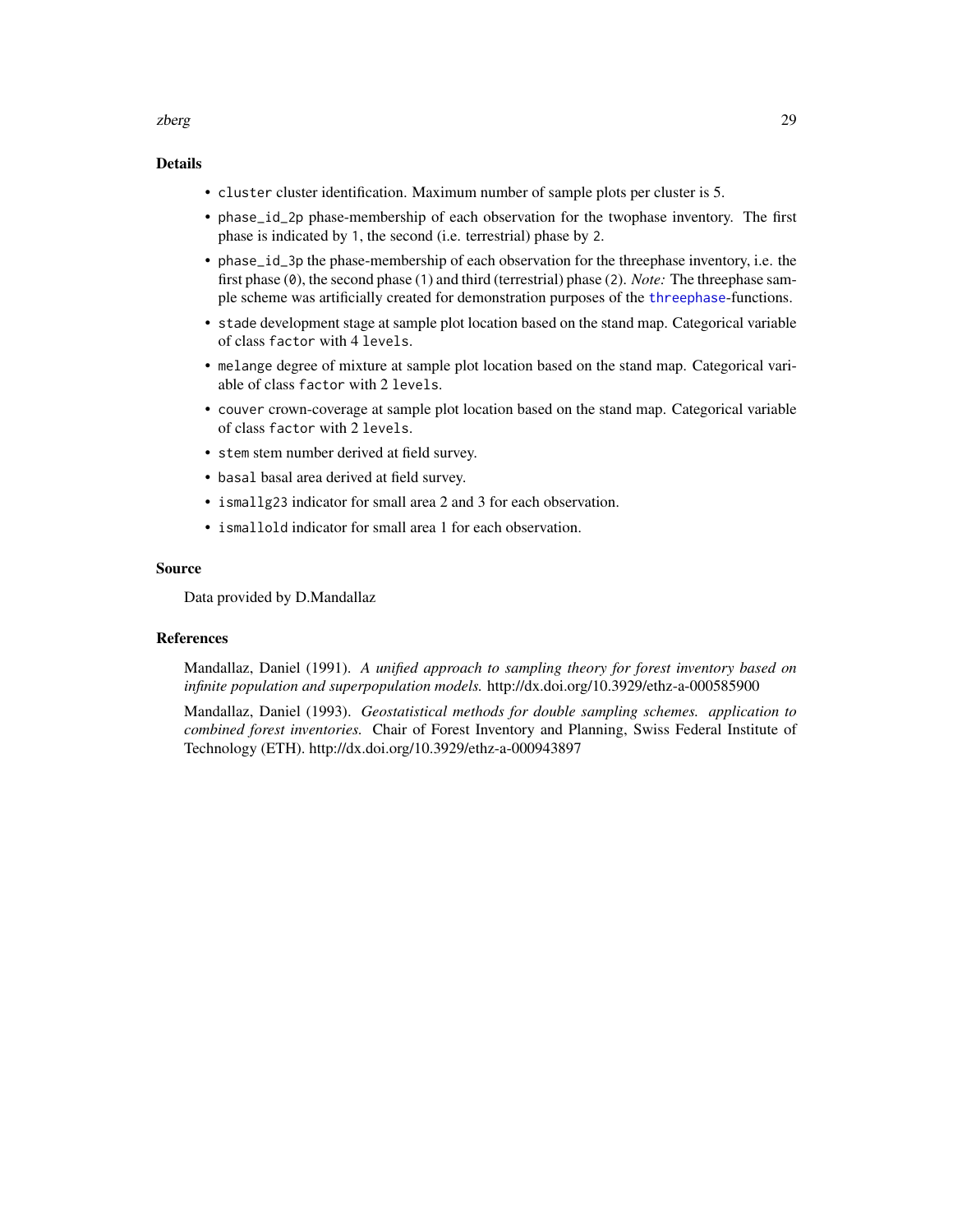#### <span id="page-28-0"></span>zberg 29

#### Details

- cluster cluster identification. Maximum number of sample plots per cluster is 5.
- phase\_id\_2p phase-membership of each observation for the twophase inventory. The first phase is indicated by 1, the second (i.e. terrestrial) phase by 2.
- phase\_id\_3p the phase-membership of each observation for the threephase inventory, i.e. the first phase (0), the second phase (1) and third (terrestrial) phase (2). *Note:* The threephase sample scheme was artificially created for demonstration purposes of the [threephase](#page-13-1)-functions.
- stade development stage at sample plot location based on the stand map. Categorical variable of class factor with 4 levels.
- melange degree of mixture at sample plot location based on the stand map. Categorical variable of class factor with 2 levels.
- couver crown-coverage at sample plot location based on the stand map. Categorical variable of class factor with 2 levels.
- stem stem number derived at field survey.
- basal basal area derived at field survey.
- ismallg23 indicator for small area 2 and 3 for each observation.
- ismallold indicator for small area 1 for each observation.

#### Source

Data provided by D.Mandallaz

#### References

Mandallaz, Daniel (1991). *A unified approach to sampling theory for forest inventory based on infinite population and superpopulation models.* http://dx.doi.org/10.3929/ethz-a-000585900

Mandallaz, Daniel (1993). *Geostatistical methods for double sampling schemes. application to combined forest inventories.* Chair of Forest Inventory and Planning, Swiss Federal Institute of Technology (ETH). http://dx.doi.org/10.3929/ethz-a-000943897